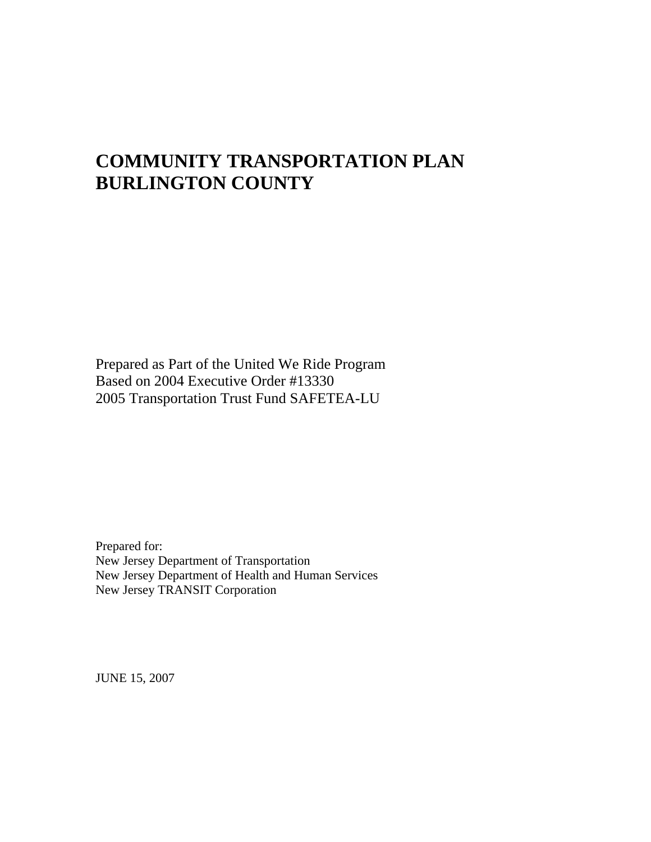# **COMMUNITY TRANSPORTATION PLAN BURLINGTON COUNTY**

Prepared as Part of the United We Ride Program Based on 2004 Executive Order #13330 2005 Transportation Trust Fund SAFETEA-LU

Prepared for: New Jersey Department of Transportation New Jersey Department of Health and Human Services New Jersey TRANSIT Corporation

JUNE 15, 2007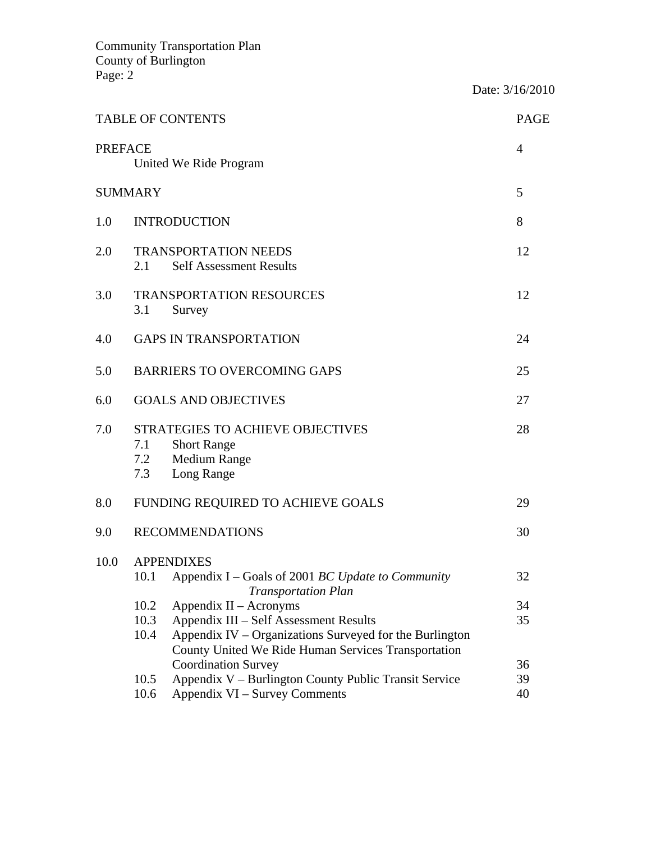|                |                                                               | <b>TABLE OF CONTENTS</b>                                                                                                                                 | <b>PAGE</b> |  |  |
|----------------|---------------------------------------------------------------|----------------------------------------------------------------------------------------------------------------------------------------------------------|-------------|--|--|
| <b>PREFACE</b> |                                                               | United We Ride Program                                                                                                                                   | 4           |  |  |
|                | <b>SUMMARY</b>                                                |                                                                                                                                                          | 5           |  |  |
| 1.0            |                                                               | <b>INTRODUCTION</b>                                                                                                                                      | 8           |  |  |
| 2.0            | 2.1                                                           | <b>TRANSPORTATION NEEDS</b><br><b>Self Assessment Results</b>                                                                                            |             |  |  |
| 3.0            | 3.1                                                           | <b>TRANSPORTATION RESOURCES</b><br>Survey                                                                                                                | 12          |  |  |
| 4.0            |                                                               | <b>GAPS IN TRANSPORTATION</b>                                                                                                                            | 24          |  |  |
| 5.0            |                                                               | <b>BARRIERS TO OVERCOMING GAPS</b>                                                                                                                       | 25          |  |  |
| 6.0            |                                                               | <b>GOALS AND OBJECTIVES</b>                                                                                                                              | 27          |  |  |
| 7.0            | 7.1<br>7.2<br>7.3                                             | STRATEGIES TO ACHIEVE OBJECTIVES<br><b>Short Range</b><br><b>Medium Range</b><br>Long Range                                                              | 28          |  |  |
| 8.0            |                                                               | FUNDING REQUIRED TO ACHIEVE GOALS                                                                                                                        | 29          |  |  |
| 9.0            |                                                               | <b>RECOMMENDATIONS</b>                                                                                                                                   | 30          |  |  |
| 10.0           | 10.1                                                          | <b>APPENDIXES</b><br>Appendix I – Goals of 2001 BC Update to Community                                                                                   | 32          |  |  |
|                |                                                               | <b>Transportation Plan</b>                                                                                                                               |             |  |  |
|                | 10.2                                                          | Appendix II – Acronyms                                                                                                                                   | 34          |  |  |
|                | 10.3<br>10.4                                                  | Appendix III – Self Assessment Results<br>Appendix IV – Organizations Surveyed for the Burlington<br>County United We Ride Human Services Transportation | 35          |  |  |
|                |                                                               | <b>Coordination Survey</b>                                                                                                                               | 36<br>39    |  |  |
|                | Appendix V – Burlington County Public Transit Service<br>10.5 |                                                                                                                                                          |             |  |  |
|                | 10.6                                                          | Appendix VI – Survey Comments                                                                                                                            | 40          |  |  |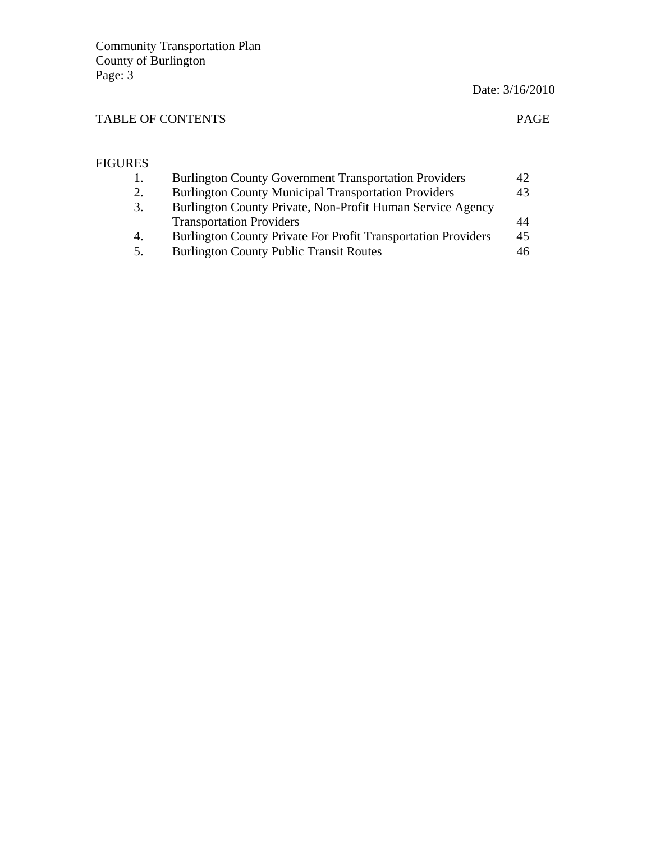Date: 3/16/2010

### TABLE OF CONTENTS PAGE

#### FIGURES 1. Burlington County Government Transportation Providers 42 2. Burlington County Municipal Transportation Providers 43 3. Burlington County Private, Non-Profit Human Service Agency Transportation Providers 44<br>Burlington County Private For Profit Transportation Providers 45 4. Burlington County Private For Profit Transportation Providers 5. Burlington County Public Transit Routes 46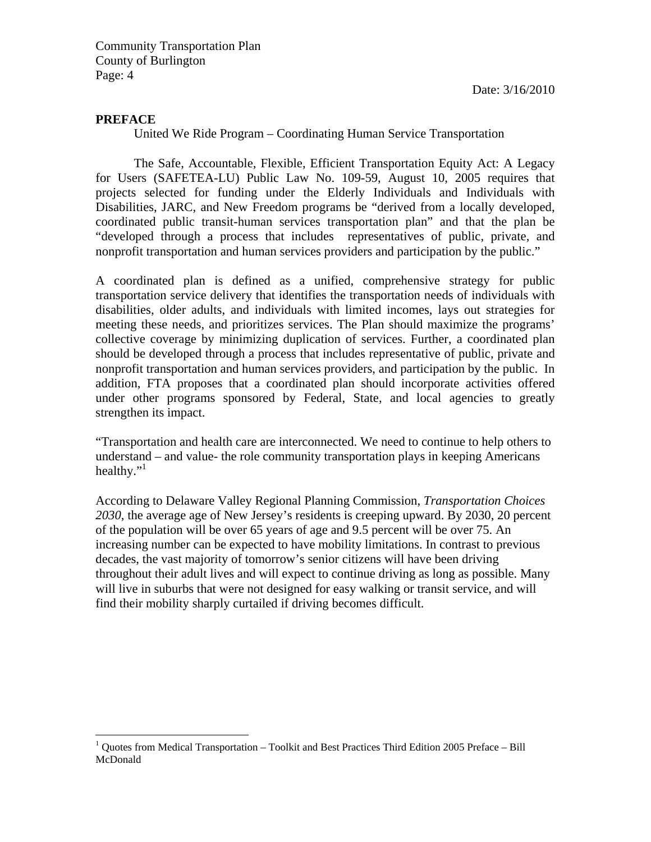Date: 3/16/2010

#### **PREFACE**

1

United We Ride Program – Coordinating Human Service Transportation

 The Safe, Accountable, Flexible, Efficient Transportation Equity Act: A Legacy for Users (SAFETEA-LU) Public Law No. 109-59, August 10, 2005 requires that projects selected for funding under the Elderly Individuals and Individuals with Disabilities, JARC, and New Freedom programs be "derived from a locally developed, coordinated public transit-human services transportation plan" and that the plan be "developed through a process that includes representatives of public, private, and nonprofit transportation and human services providers and participation by the public."

A coordinated plan is defined as a unified, comprehensive strategy for public transportation service delivery that identifies the transportation needs of individuals with disabilities, older adults, and individuals with limited incomes, lays out strategies for meeting these needs, and prioritizes services. The Plan should maximize the programs' collective coverage by minimizing duplication of services. Further, a coordinated plan should be developed through a process that includes representative of public, private and nonprofit transportation and human services providers, and participation by the public. In addition, FTA proposes that a coordinated plan should incorporate activities offered under other programs sponsored by Federal, State, and local agencies to greatly strengthen its impact.

"Transportation and health care are interconnected. We need to continue to help others to understand – and value- the role community transportation plays in keeping Americans healthy." $\cdot$ <sup>1</sup>

According to Delaware Valley Regional Planning Commission, *Transportation Choices 2030*, the average age of New Jersey's residents is creeping upward. By 2030, 20 percent of the population will be over 65 years of age and 9.5 percent will be over 75. An increasing number can be expected to have mobility limitations. In contrast to previous decades, the vast majority of tomorrow's senior citizens will have been driving throughout their adult lives and will expect to continue driving as long as possible. Many will live in suburbs that were not designed for easy walking or transit service, and will find their mobility sharply curtailed if driving becomes difficult.

<sup>&</sup>lt;sup>1</sup> Quotes from Medical Transportation – Toolkit and Best Practices Third Edition 2005 Preface – Bill McDonald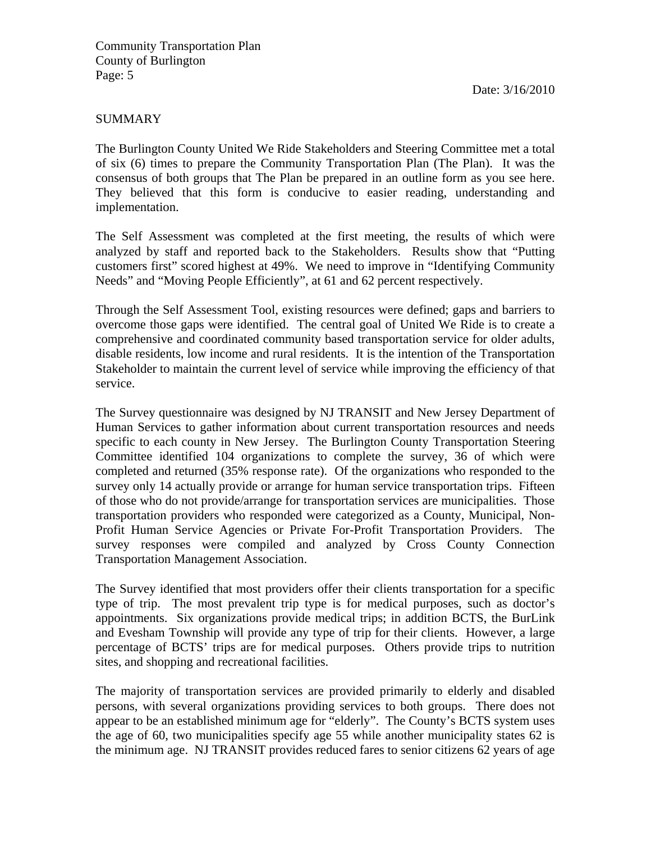#### SUMMARY

The Burlington County United We Ride Stakeholders and Steering Committee met a total of six (6) times to prepare the Community Transportation Plan (The Plan). It was the consensus of both groups that The Plan be prepared in an outline form as you see here. They believed that this form is conducive to easier reading, understanding and implementation.

The Self Assessment was completed at the first meeting, the results of which were analyzed by staff and reported back to the Stakeholders. Results show that "Putting customers first" scored highest at 49%. We need to improve in "Identifying Community Needs" and "Moving People Efficiently", at 61 and 62 percent respectively.

Through the Self Assessment Tool, existing resources were defined; gaps and barriers to overcome those gaps were identified. The central goal of United We Ride is to create a comprehensive and coordinated community based transportation service for older adults, disable residents, low income and rural residents. It is the intention of the Transportation Stakeholder to maintain the current level of service while improving the efficiency of that service.

The Survey questionnaire was designed by NJ TRANSIT and New Jersey Department of Human Services to gather information about current transportation resources and needs specific to each county in New Jersey. The Burlington County Transportation Steering Committee identified 104 organizations to complete the survey, 36 of which were completed and returned (35% response rate). Of the organizations who responded to the survey only 14 actually provide or arrange for human service transportation trips. Fifteen of those who do not provide/arrange for transportation services are municipalities. Those transportation providers who responded were categorized as a County, Municipal, Non-Profit Human Service Agencies or Private For-Profit Transportation Providers. The survey responses were compiled and analyzed by Cross County Connection Transportation Management Association.

The Survey identified that most providers offer their clients transportation for a specific type of trip. The most prevalent trip type is for medical purposes, such as doctor's appointments. Six organizations provide medical trips; in addition BCTS, the BurLink and Evesham Township will provide any type of trip for their clients. However, a large percentage of BCTS' trips are for medical purposes. Others provide trips to nutrition sites, and shopping and recreational facilities.

The majority of transportation services are provided primarily to elderly and disabled persons, with several organizations providing services to both groups. There does not appear to be an established minimum age for "elderly". The County's BCTS system uses the age of 60, two municipalities specify age 55 while another municipality states 62 is the minimum age. NJ TRANSIT provides reduced fares to senior citizens 62 years of age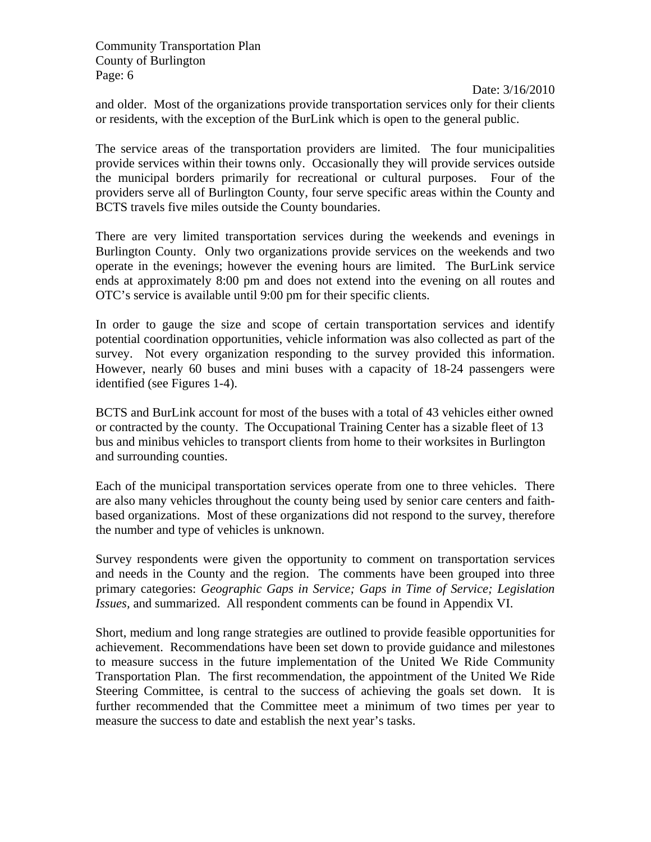Date: 3/16/2010 and older. Most of the organizations provide transportation services only for their clients or residents, with the exception of the BurLink which is open to the general public.

The service areas of the transportation providers are limited. The four municipalities provide services within their towns only. Occasionally they will provide services outside the municipal borders primarily for recreational or cultural purposes. Four of the providers serve all of Burlington County, four serve specific areas within the County and BCTS travels five miles outside the County boundaries.

There are very limited transportation services during the weekends and evenings in Burlington County. Only two organizations provide services on the weekends and two operate in the evenings; however the evening hours are limited. The BurLink service ends at approximately 8:00 pm and does not extend into the evening on all routes and OTC's service is available until 9:00 pm for their specific clients.

In order to gauge the size and scope of certain transportation services and identify potential coordination opportunities, vehicle information was also collected as part of the survey. Not every organization responding to the survey provided this information. However, nearly 60 buses and mini buses with a capacity of 18-24 passengers were identified (see Figures 1-4).

BCTS and BurLink account for most of the buses with a total of 43 vehicles either owned or contracted by the county. The Occupational Training Center has a sizable fleet of 13 bus and minibus vehicles to transport clients from home to their worksites in Burlington and surrounding counties.

Each of the municipal transportation services operate from one to three vehicles. There are also many vehicles throughout the county being used by senior care centers and faithbased organizations. Most of these organizations did not respond to the survey, therefore the number and type of vehicles is unknown.

Survey respondents were given the opportunity to comment on transportation services and needs in the County and the region. The comments have been grouped into three primary categories: *Geographic Gaps in Service; Gaps in Time of Service; Legislation Issues,* and summarized. All respondent comments can be found in Appendix VI.

Short, medium and long range strategies are outlined to provide feasible opportunities for achievement. Recommendations have been set down to provide guidance and milestones to measure success in the future implementation of the United We Ride Community Transportation Plan. The first recommendation, the appointment of the United We Ride Steering Committee, is central to the success of achieving the goals set down. It is further recommended that the Committee meet a minimum of two times per year to measure the success to date and establish the next year's tasks.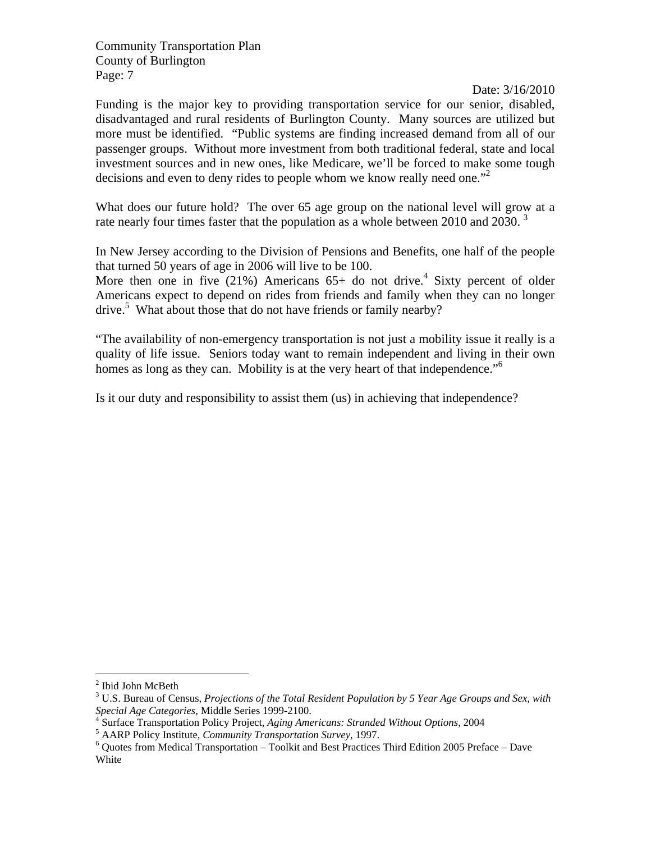Date: 3/16/2010

Funding is the major key to providing transportation service for our senior, disabled, disadvantaged and rural residents of Burlington County. Many sources are utilized but more must be identified. "Public systems are finding increased demand from all of our passenger groups. Without more investment from both traditional federal, state and local investment sources and in new ones, like Medicare, we'll be forced to make some tough decisions and even to deny rides to people whom we know really need one.<sup>"2</sup>

What does our future hold? The over 65 age group on the national level will grow at a rate nearly four times faster that the population as a whole between 2010 and 2030.<sup>3</sup>

In New Jersey according to the Division of Pensions and Benefits, one half of the people that turned 50 years of age in 2006 will live to be 100.

More then one in five  $(21\%)$  Americans 65+ do not drive.<sup>4</sup> Sixty percent of older Americans expect to depend on rides from friends and family when they can no longer drive.<sup>5</sup> What about those that do not have friends or family nearby?

"The availability of non-emergency transportation is not just a mobility issue it really is a quality of life issue. Seniors today want to remain independent and living in their own homes as long as they can. Mobility is at the very heart of that independence."<sup>6</sup>

Is it our duty and responsibility to assist them (us) in achieving that independence?

 $\overline{a}$ 

<sup>&</sup>lt;sup>2</sup> Ibid John McBeth

<sup>3</sup> U.S. Bureau of Census, *Projections of the Total Resident Population by 5 Year Age Groups and Sex, with Special Age Categories,* Middle Series 1999-2100. 4

Surface Transportation Policy Project, *Aging Americans: Stranded Without Options*, 2004 5

<sup>&</sup>lt;sup>5</sup> AARP Policy Institute, *Community Transportation Survey*, 1997.

 $6$  Quotes from Medical Transportation – Toolkit and Best Practices Third Edition 2005 Preface – Dave White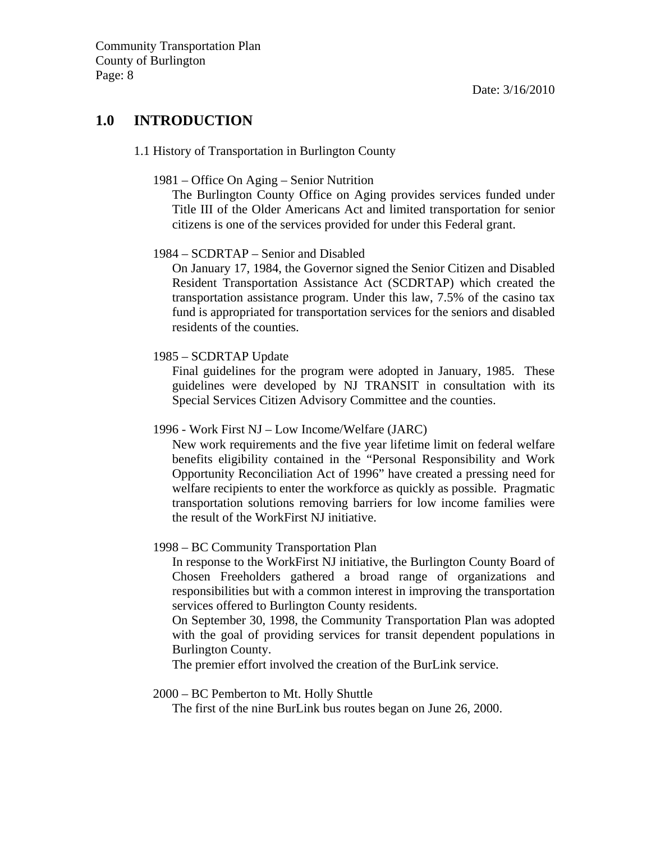### **1.0 INTRODUCTION**

#### 1.1 History of Transportation in Burlington County

#### 1981 – Office On Aging – Senior Nutrition

The Burlington County Office on Aging provides services funded under Title III of the Older Americans Act and limited transportation for senior citizens is one of the services provided for under this Federal grant.

#### 1984 – SCDRTAP – Senior and Disabled

On January 17, 1984, the Governor signed the Senior Citizen and Disabled Resident Transportation Assistance Act (SCDRTAP) which created the transportation assistance program. Under this law, 7.5% of the casino tax fund is appropriated for transportation services for the seniors and disabled residents of the counties.

#### 1985 – SCDRTAP Update

Final guidelines for the program were adopted in January, 1985. These guidelines were developed by NJ TRANSIT in consultation with its Special Services Citizen Advisory Committee and the counties.

#### 1996 - Work First NJ – Low Income/Welfare (JARC)

New work requirements and the five year lifetime limit on federal welfare benefits eligibility contained in the "Personal Responsibility and Work Opportunity Reconciliation Act of 1996" have created a pressing need for welfare recipients to enter the workforce as quickly as possible. Pragmatic transportation solutions removing barriers for low income families were the result of the WorkFirst NJ initiative.

#### 1998 – BC Community Transportation Plan

In response to the WorkFirst NJ initiative, the Burlington County Board of Chosen Freeholders gathered a broad range of organizations and responsibilities but with a common interest in improving the transportation services offered to Burlington County residents.

On September 30, 1998, the Community Transportation Plan was adopted with the goal of providing services for transit dependent populations in Burlington County.

The premier effort involved the creation of the BurLink service.

#### 2000 – BC Pemberton to Mt. Holly Shuttle

The first of the nine BurLink bus routes began on June 26, 2000.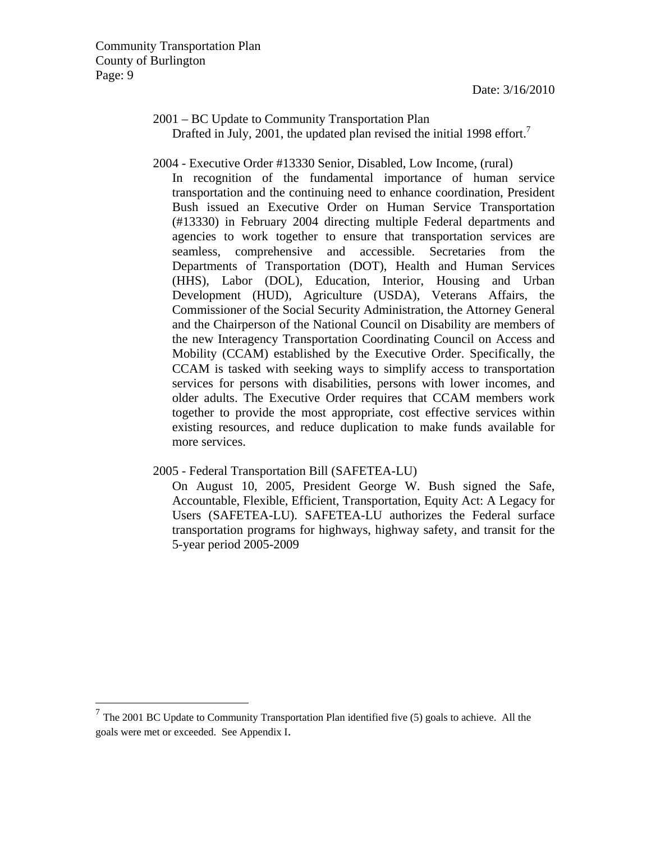$\overline{a}$ 

#### 2001 – BC Update to Community Transportation Plan Drafted in July, 2001, the updated plan revised the initial 1998 effort.<sup>7</sup>

#### 2004 - Executive Order #13330 Senior, Disabled, Low Income, (rural)

In recognition of the fundamental importance of human service transportation and the continuing need to enhance coordination, President Bush issued an Executive Order on Human Service Transportation (#13330) in February 2004 directing multiple Federal departments and agencies to work together to ensure that transportation services are seamless, comprehensive and accessible. Secretaries from the Departments of Transportation (DOT), Health and Human Services (HHS), Labor (DOL), Education, Interior, Housing and Urban Development (HUD), Agriculture (USDA), Veterans Affairs, the Commissioner of the Social Security Administration, the Attorney General and the Chairperson of the National Council on Disability are members of the new Interagency Transportation Coordinating Council on Access and Mobility (CCAM) established by the Executive Order. Specifically, the CCAM is tasked with seeking ways to simplify access to transportation services for persons with disabilities, persons with lower incomes, and older adults. The Executive Order requires that CCAM members work together to provide the most appropriate, cost effective services within existing resources, and reduce duplication to make funds available for more services.

#### 2005 - Federal Transportation Bill (SAFETEA-LU)

On August 10, 2005, President George W. Bush signed the Safe, Accountable, Flexible, Efficient, Transportation, Equity Act: A Legacy for Users (SAFETEA-LU). SAFETEA-LU authorizes the Federal surface transportation programs for highways, highway safety, and transit for the 5-year period 2005-2009

 $<sup>7</sup>$  The 2001 BC Update to Community Transportation Plan identified five (5) goals to achieve. All the</sup> goals were met or exceeded. See Appendix I.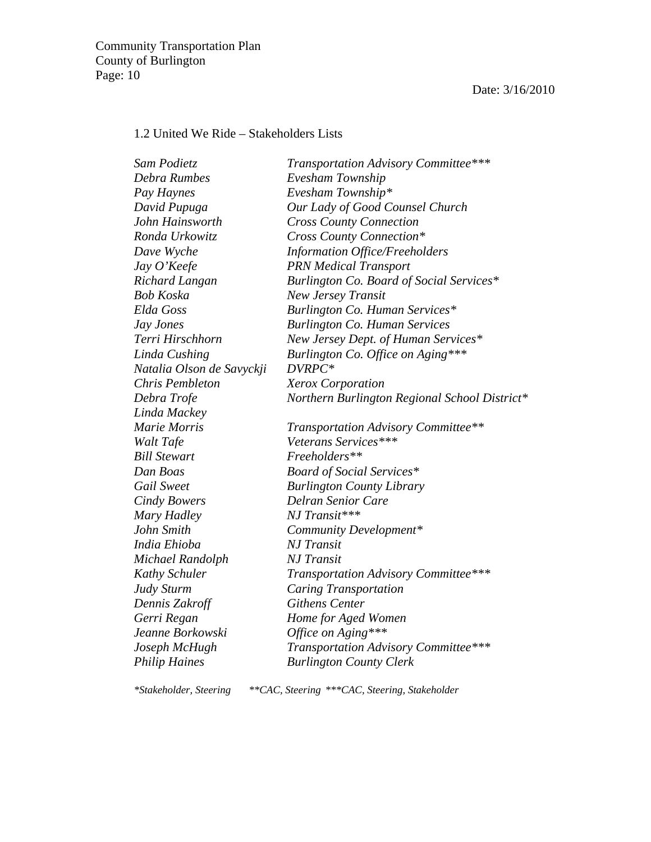### 1.2 United We Ride – Stakeholders Lists

| Sam Podietz               | Transportation Advisory Committee***          |
|---------------------------|-----------------------------------------------|
| Debra Rumbes              | Evesham Township                              |
| Pay Haynes                | Evesham Township*                             |
| David Pupuga              | Our Lady of Good Counsel Church               |
| John Hainsworth           | <b>Cross County Connection</b>                |
| Ronda Urkowitz            | <b>Cross County Connection*</b>               |
| Dave Wyche                | <b>Information Office/Freeholders</b>         |
| Jay O'Keefe               | <b>PRN</b> Medical Transport                  |
| Richard Langan            | Burlington Co. Board of Social Services*      |
| Bob Koska                 | <b>New Jersey Transit</b>                     |
| Elda Goss                 | Burlington Co. Human Services*                |
| Jay Jones                 | <b>Burlington Co. Human Services</b>          |
| Terri Hirschhorn          | New Jersey Dept. of Human Services*           |
| Linda Cushing             | Burlington Co. Office on Aging***             |
| Natalia Olson de Savyckji | DVRPC*                                        |
| Chris Pembleton           | <b>Xerox Corporation</b>                      |
| Debra Trofe               | Northern Burlington Regional School District* |
| Linda Mackey              |                                               |
| Marie Morris              | <b>Transportation Advisory Committee**</b>    |
| Walt Tafe                 | Veterans Services***                          |
| <b>Bill Stewart</b>       | Freeholders**                                 |
| Dan Boas                  | <b>Board of Social Services*</b>              |
| Gail Sweet                | <b>Burlington County Library</b>              |
| <b>Cindy Bowers</b>       | <b>Delran Senior Care</b>                     |
| Mary Hadley               | NJ Transit***                                 |
| John Smith                | Community Development*                        |
| India Ehioba              | <b>NJ</b> Transit                             |
| Michael Randolph          | <b>NJ</b> Transit                             |
| Kathy Schuler             | Transportation Advisory Committee***          |
| Judy Sturm                | Caring Transportation                         |
| Dennis Zakroff            | <b>Githens Center</b>                         |
| Gerri Regan               | Home for Aged Women                           |
| Jeanne Borkowski          | Office on Aging***                            |
| Joseph McHugh             | Transportation Advisory Committee***          |
| <b>Philip Haines</b>      | <b>Burlington County Clerk</b>                |
|                           |                                               |

*\*Stakeholder, Steering \*\*CAC, Steering \*\*\*CAC, Steering, Stakeholder*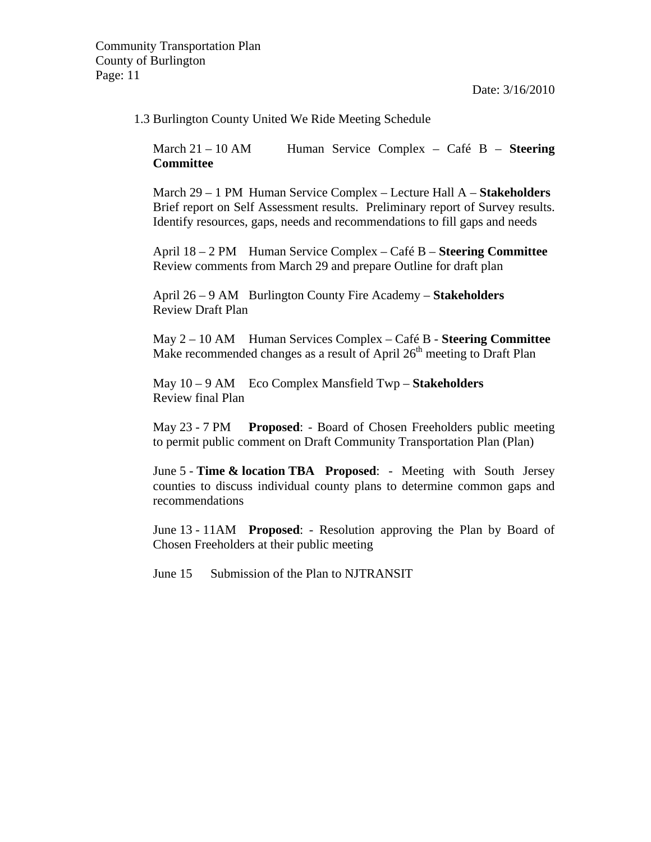Date: 3/16/2010

#### 1.3 Burlington County United We Ride Meeting Schedule

March 21 – 10 AM Human Service Complex – Café B – **Steering Committee**

March 29 – 1 PM Human Service Complex – Lecture Hall A – **Stakeholders** Brief report on Self Assessment results. Preliminary report of Survey results. Identify resources, gaps, needs and recommendations to fill gaps and needs

April 18 – 2 PM Human Service Complex – Café B – **Steering Committee** Review comments from March 29 and prepare Outline for draft plan

April 26 – 9 AM Burlington County Fire Academy – **Stakeholders** Review Draft Plan

May 2 – 10 AM Human Services Complex – Café B - **Steering Committee** Make recommended changes as a result of April  $26<sup>th</sup>$  meeting to Draft Plan

May 10 – 9 AM Eco Complex Mansfield Twp – **Stakeholders** Review final Plan

May 23 - 7 PM **Proposed**: - Board of Chosen Freeholders public meeting to permit public comment on Draft Community Transportation Plan (Plan)

June 5 - **Time & location TBA Proposed**: - Meeting with South Jersey counties to discuss individual county plans to determine common gaps and recommendations

June 13 - 11AM **Proposed**: - Resolution approving the Plan by Board of Chosen Freeholders at their public meeting

June 15 Submission of the Plan to NJTRANSIT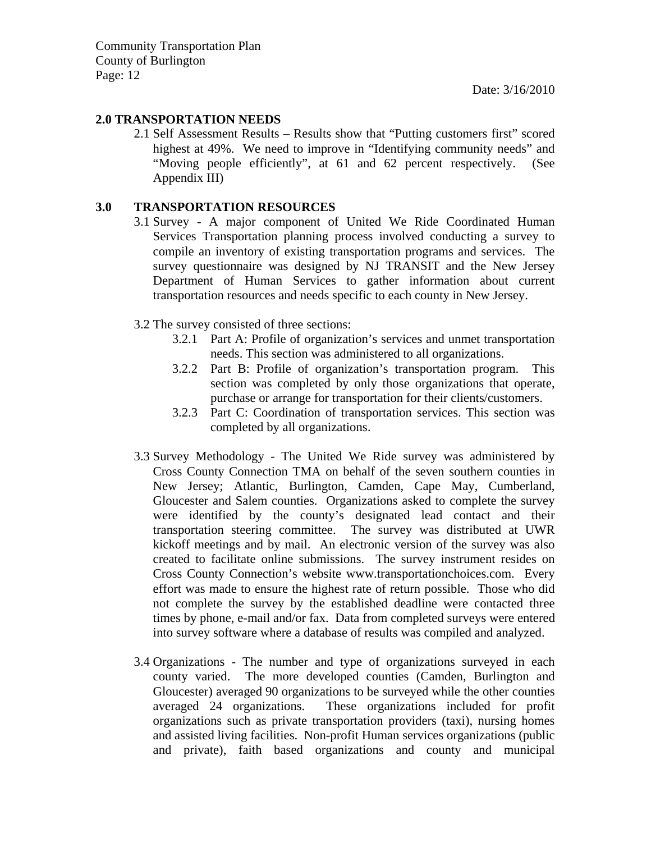#### **2.0 TRANSPORTATION NEEDS**

2.1 Self Assessment Results – Results show that "Putting customers first" scored highest at 49%. We need to improve in "Identifying community needs" and "Moving people efficiently", at 61 and 62 percent respectively. (See Appendix III)

#### **3.0 TRANSPORTATION RESOURCES**

- 3.1 Survey A major component of United We Ride Coordinated Human Services Transportation planning process involved conducting a survey to compile an inventory of existing transportation programs and services. The survey questionnaire was designed by NJ TRANSIT and the New Jersey Department of Human Services to gather information about current transportation resources and needs specific to each county in New Jersey.
- 3.2 The survey consisted of three sections:
	- 3.2.1 Part A: Profile of organization's services and unmet transportation needs. This section was administered to all organizations.
	- 3.2.2 Part B: Profile of organization's transportation program. This section was completed by only those organizations that operate, purchase or arrange for transportation for their clients/customers.
	- 3.2.3 Part C: Coordination of transportation services. This section was completed by all organizations.
- 3.3 Survey Methodology The United We Ride survey was administered by Cross County Connection TMA on behalf of the seven southern counties in New Jersey; Atlantic, Burlington, Camden, Cape May, Cumberland, Gloucester and Salem counties. Organizations asked to complete the survey were identified by the county's designated lead contact and their transportation steering committee. The survey was distributed at UWR kickoff meetings and by mail. An electronic version of the survey was also created to facilitate online submissions. The survey instrument resides on Cross County Connection's website www.transportationchoices.com. Every effort was made to ensure the highest rate of return possible. Those who did not complete the survey by the established deadline were contacted three times by phone, e-mail and/or fax. Data from completed surveys were entered into survey software where a database of results was compiled and analyzed.
- 3.4 Organizations The number and type of organizations surveyed in each county varied. The more developed counties (Camden, Burlington and Gloucester) averaged 90 organizations to be surveyed while the other counties averaged 24 organizations. These organizations included for profit organizations such as private transportation providers (taxi), nursing homes and assisted living facilities. Non-profit Human services organizations (public and private), faith based organizations and county and municipal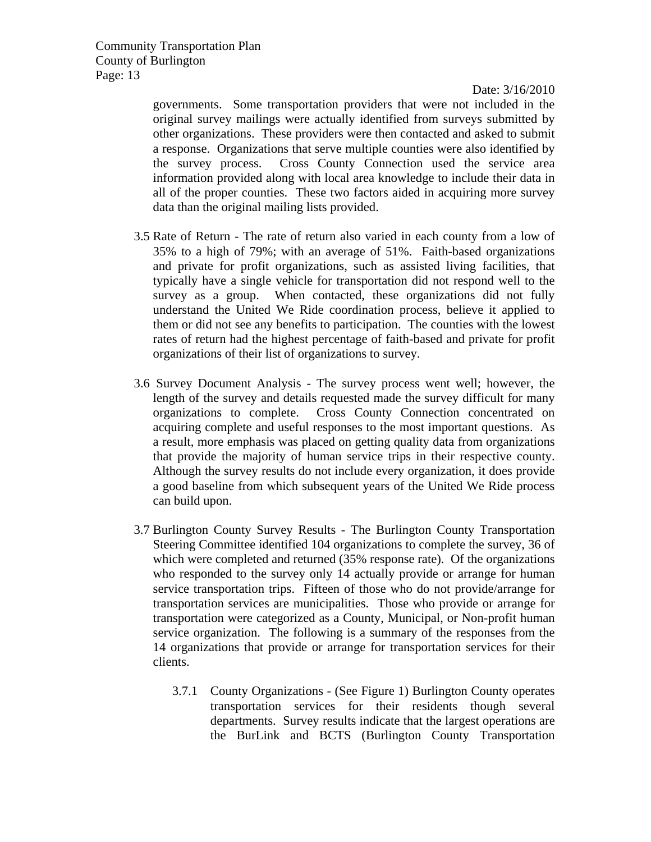Date: 3/16/2010

governments. Some transportation providers that were not included in the original survey mailings were actually identified from surveys submitted by other organizations. These providers were then contacted and asked to submit a response. Organizations that serve multiple counties were also identified by the survey process. Cross County Connection used the service area information provided along with local area knowledge to include their data in all of the proper counties. These two factors aided in acquiring more survey data than the original mailing lists provided.

- 3.5 Rate of Return The rate of return also varied in each county from a low of 35% to a high of 79%; with an average of 51%. Faith-based organizations and private for profit organizations, such as assisted living facilities, that typically have a single vehicle for transportation did not respond well to the survey as a group. When contacted, these organizations did not fully understand the United We Ride coordination process, believe it applied to them or did not see any benefits to participation. The counties with the lowest rates of return had the highest percentage of faith-based and private for profit organizations of their list of organizations to survey.
- 3.6 Survey Document Analysis The survey process went well; however, the length of the survey and details requested made the survey difficult for many organizations to complete. Cross County Connection concentrated on acquiring complete and useful responses to the most important questions. As a result, more emphasis was placed on getting quality data from organizations that provide the majority of human service trips in their respective county. Although the survey results do not include every organization, it does provide a good baseline from which subsequent years of the United We Ride process can build upon.
- 3.7 Burlington County Survey Results The Burlington County Transportation Steering Committee identified 104 organizations to complete the survey, 36 of which were completed and returned (35% response rate). Of the organizations who responded to the survey only 14 actually provide or arrange for human service transportation trips. Fifteen of those who do not provide/arrange for transportation services are municipalities. Those who provide or arrange for transportation were categorized as a County, Municipal, or Non-profit human service organization. The following is a summary of the responses from the 14 organizations that provide or arrange for transportation services for their clients.
	- 3.7.1 County Organizations (See Figure 1) Burlington County operates transportation services for their residents though several departments. Survey results indicate that the largest operations are the BurLink and BCTS (Burlington County Transportation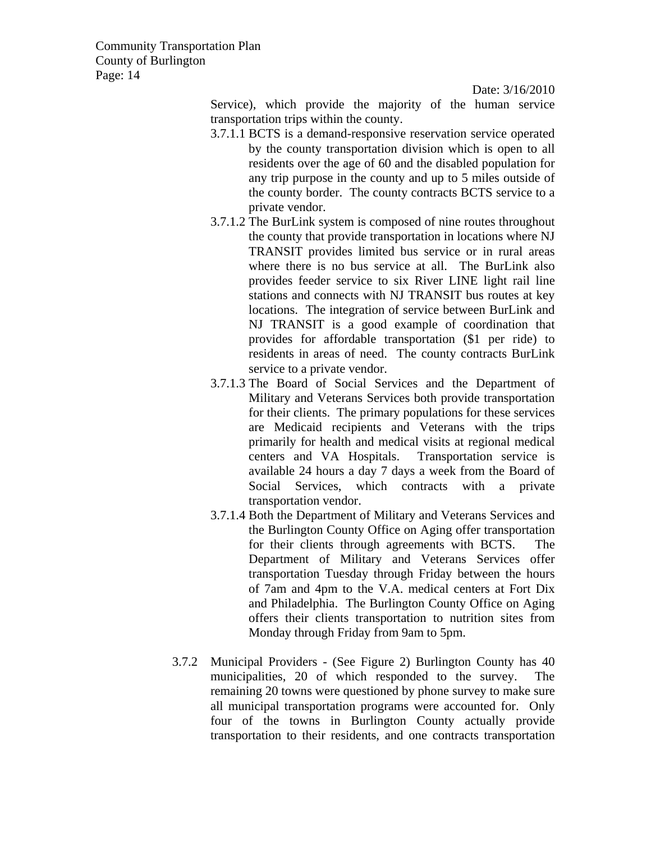Date: 3/16/2010

Service), which provide the majority of the human service transportation trips within the county.

- 3.7.1.1 BCTS is a demand-responsive reservation service operated by the county transportation division which is open to all residents over the age of 60 and the disabled population for any trip purpose in the county and up to 5 miles outside of the county border. The county contracts BCTS service to a private vendor.
- 3.7.1.2 The BurLink system is composed of nine routes throughout the county that provide transportation in locations where NJ TRANSIT provides limited bus service or in rural areas where there is no bus service at all. The BurLink also provides feeder service to six River LINE light rail line stations and connects with NJ TRANSIT bus routes at key locations. The integration of service between BurLink and NJ TRANSIT is a good example of coordination that provides for affordable transportation (\$1 per ride) to residents in areas of need. The county contracts BurLink service to a private vendor.
- 3.7.1.3 The Board of Social Services and the Department of Military and Veterans Services both provide transportation for their clients. The primary populations for these services are Medicaid recipients and Veterans with the trips primarily for health and medical visits at regional medical centers and VA Hospitals. Transportation service is available 24 hours a day 7 days a week from the Board of Social Services, which contracts with a private transportation vendor.
- 3.7.1.4 Both the Department of Military and Veterans Services and the Burlington County Office on Aging offer transportation for their clients through agreements with BCTS. The Department of Military and Veterans Services offer transportation Tuesday through Friday between the hours of 7am and 4pm to the V.A. medical centers at Fort Dix and Philadelphia. The Burlington County Office on Aging offers their clients transportation to nutrition sites from Monday through Friday from 9am to 5pm.
- 3.7.2 Municipal Providers (See Figure 2) Burlington County has 40 municipalities, 20 of which responded to the survey. The remaining 20 towns were questioned by phone survey to make sure all municipal transportation programs were accounted for. Only four of the towns in Burlington County actually provide transportation to their residents, and one contracts transportation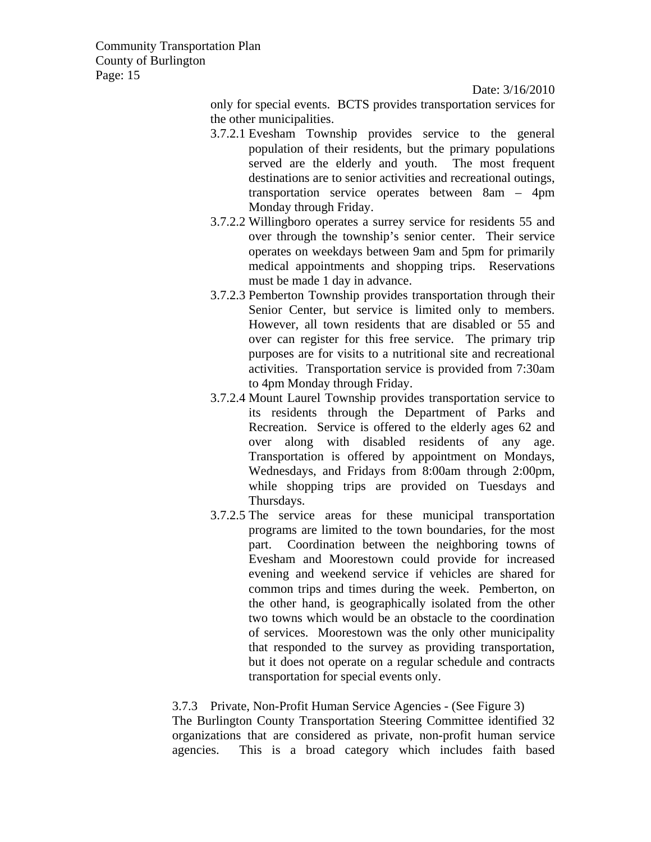Date: 3/16/2010

only for special events. BCTS provides transportation services for the other municipalities.

- 3.7.2.1 Evesham Township provides service to the general population of their residents, but the primary populations served are the elderly and youth. The most frequent destinations are to senior activities and recreational outings, transportation service operates between 8am – 4pm Monday through Friday.
- 3.7.2.2 Willingboro operates a surrey service for residents 55 and over through the township's senior center. Their service operates on weekdays between 9am and 5pm for primarily medical appointments and shopping trips. Reservations must be made 1 day in advance.
- 3.7.2.3 Pemberton Township provides transportation through their Senior Center, but service is limited only to members. However, all town residents that are disabled or 55 and over can register for this free service. The primary trip purposes are for visits to a nutritional site and recreational activities. Transportation service is provided from 7:30am to 4pm Monday through Friday.
- 3.7.2.4 Mount Laurel Township provides transportation service to its residents through the Department of Parks and Recreation. Service is offered to the elderly ages 62 and over along with disabled residents of any age. Transportation is offered by appointment on Mondays, Wednesdays, and Fridays from 8:00am through 2:00pm, while shopping trips are provided on Tuesdays and Thursdays.
- 3.7.2.5 The service areas for these municipal transportation programs are limited to the town boundaries, for the most part. Coordination between the neighboring towns of Evesham and Moorestown could provide for increased evening and weekend service if vehicles are shared for common trips and times during the week. Pemberton, on the other hand, is geographically isolated from the other two towns which would be an obstacle to the coordination of services. Moorestown was the only other municipality that responded to the survey as providing transportation, but it does not operate on a regular schedule and contracts transportation for special events only.

#### 3.7.3 Private, Non-Profit Human Service Agencies - (See Figure 3)

The Burlington County Transportation Steering Committee identified 32 organizations that are considered as private, non-profit human service agencies. This is a broad category which includes faith based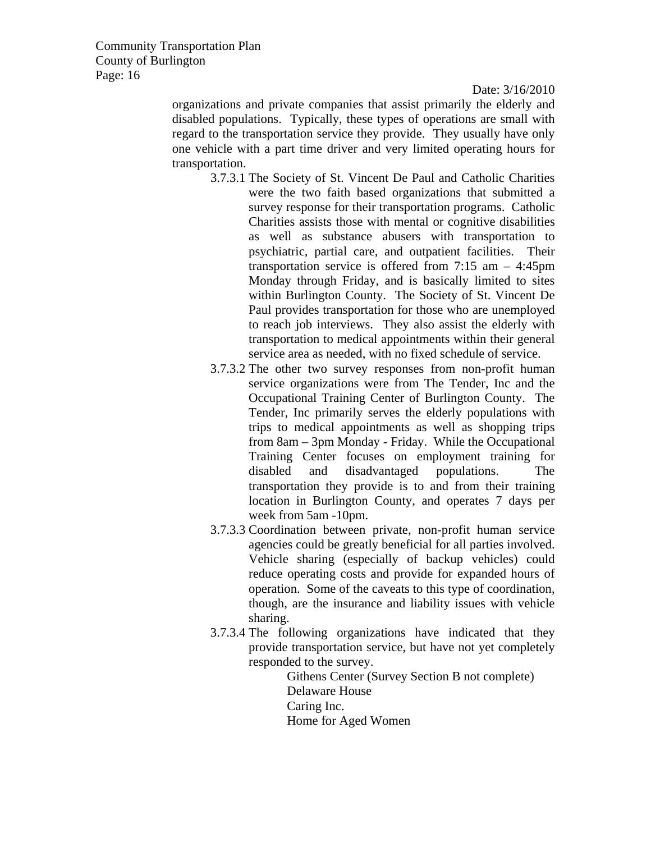Date: 3/16/2010

organizations and private companies that assist primarily the elderly and disabled populations. Typically, these types of operations are small with regard to the transportation service they provide. They usually have only one vehicle with a part time driver and very limited operating hours for transportation.

- 3.7.3.1 The Society of St. Vincent De Paul and Catholic Charities were the two faith based organizations that submitted a survey response for their transportation programs. Catholic Charities assists those with mental or cognitive disabilities as well as substance abusers with transportation to psychiatric, partial care, and outpatient facilities. Their transportation service is offered from 7:15 am – 4:45pm Monday through Friday, and is basically limited to sites within Burlington County. The Society of St. Vincent De Paul provides transportation for those who are unemployed to reach job interviews. They also assist the elderly with transportation to medical appointments within their general service area as needed, with no fixed schedule of service.
- 3.7.3.2 The other two survey responses from non-profit human service organizations were from The Tender, Inc and the Occupational Training Center of Burlington County. The Tender, Inc primarily serves the elderly populations with trips to medical appointments as well as shopping trips from 8am – 3pm Monday - Friday. While the Occupational Training Center focuses on employment training for disabled and disadvantaged populations. The transportation they provide is to and from their training location in Burlington County, and operates 7 days per week from 5am -10pm.
- 3.7.3.3 Coordination between private, non-profit human service agencies could be greatly beneficial for all parties involved. Vehicle sharing (especially of backup vehicles) could reduce operating costs and provide for expanded hours of operation. Some of the caveats to this type of coordination, though, are the insurance and liability issues with vehicle sharing.
- 3.7.3.4 The following organizations have indicated that they provide transportation service, but have not yet completely responded to the survey.

Githens Center (Survey Section B not complete) Delaware House Caring Inc. Home for Aged Women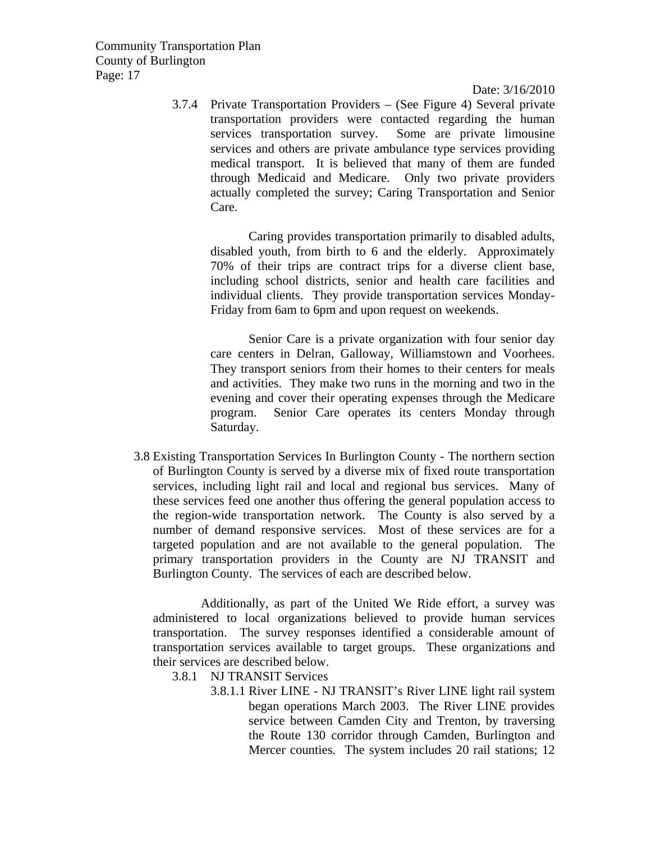Date: 3/16/2010

3.7.4 Private Transportation Providers – (See Figure 4) Several private transportation providers were contacted regarding the human services transportation survey. Some are private limousine services and others are private ambulance type services providing medical transport. It is believed that many of them are funded through Medicaid and Medicare. Only two private providers actually completed the survey; Caring Transportation and Senior Care.

Caring provides transportation primarily to disabled adults, disabled youth, from birth to 6 and the elderly. Approximately 70% of their trips are contract trips for a diverse client base, including school districts, senior and health care facilities and individual clients. They provide transportation services Monday-Friday from 6am to 6pm and upon request on weekends.

Senior Care is a private organization with four senior day care centers in Delran, Galloway, Williamstown and Voorhees. They transport seniors from their homes to their centers for meals and activities. They make two runs in the morning and two in the evening and cover their operating expenses through the Medicare program. Senior Care operates its centers Monday through Saturday.

3.8 Existing Transportation Services In Burlington County - The northern section of Burlington County is served by a diverse mix of fixed route transportation services, including light rail and local and regional bus services. Many of these services feed one another thus offering the general population access to the region-wide transportation network. The County is also served by a number of demand responsive services. Most of these services are for a targeted population and are not available to the general population. The primary transportation providers in the County are NJ TRANSIT and Burlington County. The services of each are described below.

Additionally, as part of the United We Ride effort, a survey was administered to local organizations believed to provide human services transportation. The survey responses identified a considerable amount of transportation services available to target groups. These organizations and their services are described below.

3.8.1 NJ TRANSIT Services

3.8.1.1 River LINE - NJ TRANSIT's River LINE light rail system began operations March 2003. The River LINE provides service between Camden City and Trenton, by traversing the Route 130 corridor through Camden, Burlington and Mercer counties. The system includes 20 rail stations; 12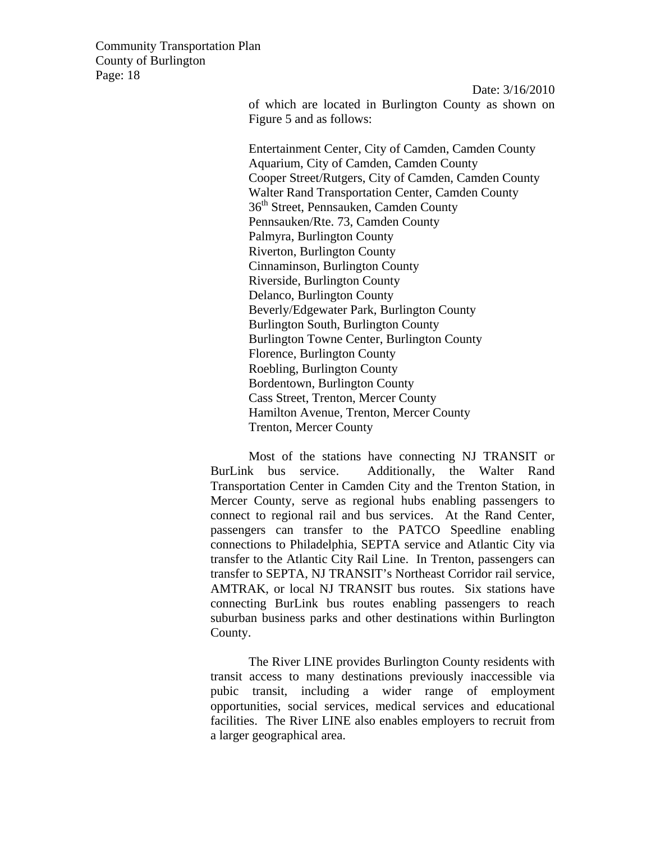> Date: 3/16/2010 of which are located in Burlington County as shown on Figure 5 and as follows:

Entertainment Center, City of Camden, Camden County Aquarium, City of Camden, Camden County Cooper Street/Rutgers, City of Camden, Camden County Walter Rand Transportation Center, Camden County 36<sup>th</sup> Street, Pennsauken, Camden County Pennsauken/Rte. 73, Camden County Palmyra, Burlington County Riverton, Burlington County Cinnaminson, Burlington County Riverside, Burlington County Delanco, Burlington County Beverly/Edgewater Park, Burlington County Burlington South, Burlington County Burlington Towne Center, Burlington County Florence, Burlington County Roebling, Burlington County Bordentown, Burlington County Cass Street, Trenton, Mercer County Hamilton Avenue, Trenton, Mercer County Trenton, Mercer County

Most of the stations have connecting NJ TRANSIT or BurLink bus service. Additionally, the Walter Rand Transportation Center in Camden City and the Trenton Station, in Mercer County, serve as regional hubs enabling passengers to connect to regional rail and bus services. At the Rand Center, passengers can transfer to the PATCO Speedline enabling connections to Philadelphia, SEPTA service and Atlantic City via transfer to the Atlantic City Rail Line. In Trenton, passengers can transfer to SEPTA, NJ TRANSIT's Northeast Corridor rail service, AMTRAK, or local NJ TRANSIT bus routes. Six stations have connecting BurLink bus routes enabling passengers to reach suburban business parks and other destinations within Burlington County.

The River LINE provides Burlington County residents with transit access to many destinations previously inaccessible via pubic transit, including a wider range of employment opportunities, social services, medical services and educational facilities. The River LINE also enables employers to recruit from a larger geographical area.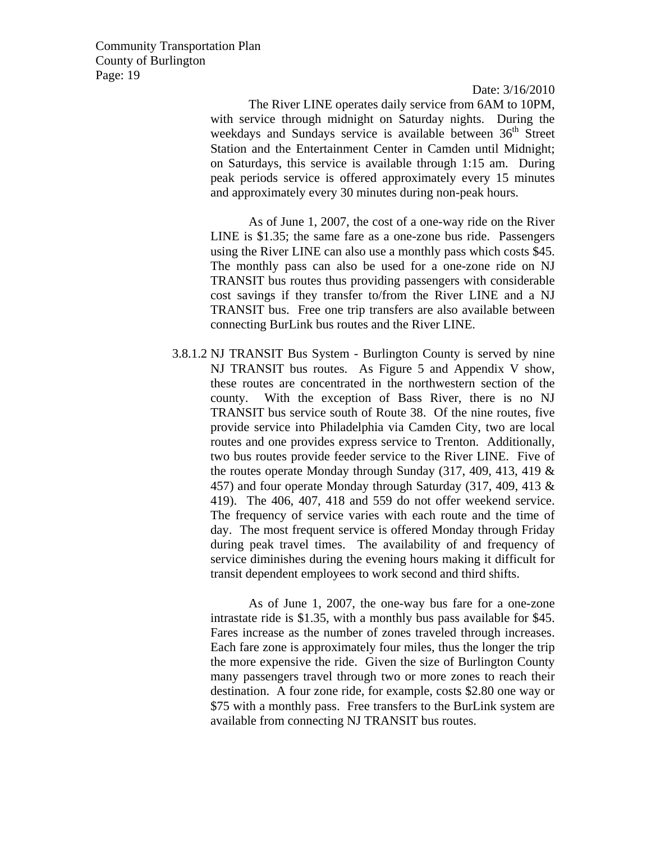Date: 3/16/2010

The River LINE operates daily service from 6AM to 10PM, with service through midnight on Saturday nights. During the weekdays and Sundays service is available between  $36<sup>th</sup>$  Street Station and the Entertainment Center in Camden until Midnight; on Saturdays, this service is available through 1:15 am. During peak periods service is offered approximately every 15 minutes and approximately every 30 minutes during non-peak hours.

As of June 1, 2007, the cost of a one-way ride on the River LINE is \$1.35; the same fare as a one-zone bus ride. Passengers using the River LINE can also use a monthly pass which costs \$45. The monthly pass can also be used for a one-zone ride on NJ TRANSIT bus routes thus providing passengers with considerable cost savings if they transfer to/from the River LINE and a NJ TRANSIT bus. Free one trip transfers are also available between connecting BurLink bus routes and the River LINE.

3.8.1.2 NJ TRANSIT Bus System - Burlington County is served by nine NJ TRANSIT bus routes. As Figure 5 and Appendix V show, these routes are concentrated in the northwestern section of the county. With the exception of Bass River, there is no NJ TRANSIT bus service south of Route 38. Of the nine routes, five provide service into Philadelphia via Camden City, two are local routes and one provides express service to Trenton. Additionally, two bus routes provide feeder service to the River LINE. Five of the routes operate Monday through Sunday (317, 409, 413, 419 & 457) and four operate Monday through Saturday (317, 409, 413 & 419). The 406, 407, 418 and 559 do not offer weekend service. The frequency of service varies with each route and the time of day. The most frequent service is offered Monday through Friday during peak travel times. The availability of and frequency of service diminishes during the evening hours making it difficult for transit dependent employees to work second and third shifts.

As of June 1, 2007, the one-way bus fare for a one-zone intrastate ride is \$1.35, with a monthly bus pass available for \$45. Fares increase as the number of zones traveled through increases. Each fare zone is approximately four miles, thus the longer the trip the more expensive the ride. Given the size of Burlington County many passengers travel through two or more zones to reach their destination. A four zone ride, for example, costs \$2.80 one way or \$75 with a monthly pass. Free transfers to the BurLink system are available from connecting NJ TRANSIT bus routes.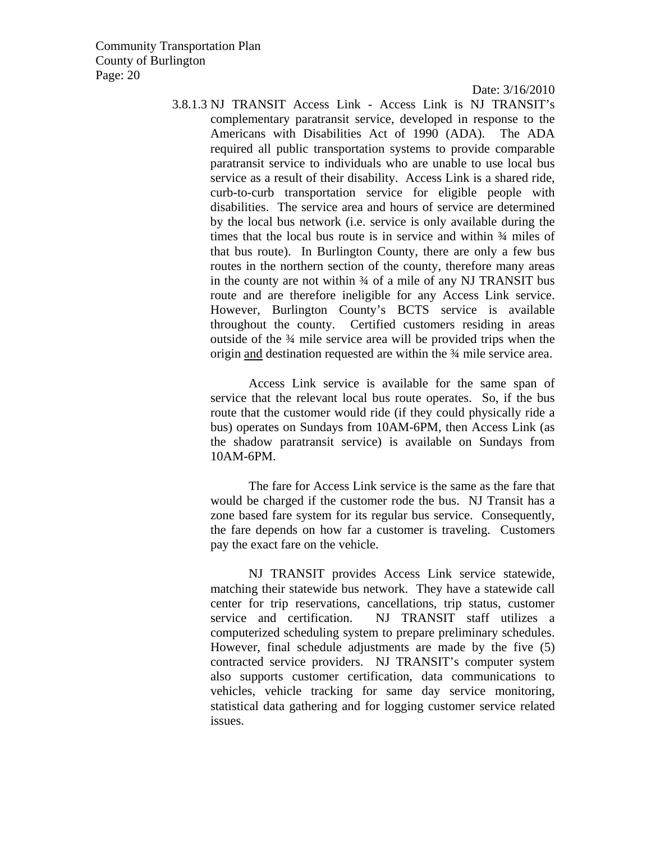Date: 3/16/2010

3.8.1.3 NJ TRANSIT Access Link - Access Link is NJ TRANSIT's complementary paratransit service, developed in response to the Americans with Disabilities Act of 1990 (ADA). The ADA required all public transportation systems to provide comparable paratransit service to individuals who are unable to use local bus service as a result of their disability. Access Link is a shared ride, curb-to-curb transportation service for eligible people with disabilities. The service area and hours of service are determined by the local bus network (i.e. service is only available during the times that the local bus route is in service and within  $\frac{3}{4}$  miles of that bus route). In Burlington County, there are only a few bus routes in the northern section of the county, therefore many areas in the county are not within  $\frac{3}{4}$  of a mile of any NJ TRANSIT bus route and are therefore ineligible for any Access Link service. However, Burlington County's BCTS service is available throughout the county. Certified customers residing in areas outside of the ¾ mile service area will be provided trips when the origin and destination requested are within the ¾ mile service area.

Access Link service is available for the same span of service that the relevant local bus route operates. So, if the bus route that the customer would ride (if they could physically ride a bus) operates on Sundays from 10AM-6PM, then Access Link (as the shadow paratransit service) is available on Sundays from 10AM-6PM.

The fare for Access Link service is the same as the fare that would be charged if the customer rode the bus. NJ Transit has a zone based fare system for its regular bus service. Consequently, the fare depends on how far a customer is traveling. Customers pay the exact fare on the vehicle.

NJ TRANSIT provides Access Link service statewide, matching their statewide bus network. They have a statewide call center for trip reservations, cancellations, trip status, customer service and certification. NJ TRANSIT staff utilizes a computerized scheduling system to prepare preliminary schedules. However, final schedule adjustments are made by the five (5) contracted service providers. NJ TRANSIT's computer system also supports customer certification, data communications to vehicles, vehicle tracking for same day service monitoring, statistical data gathering and for logging customer service related issues.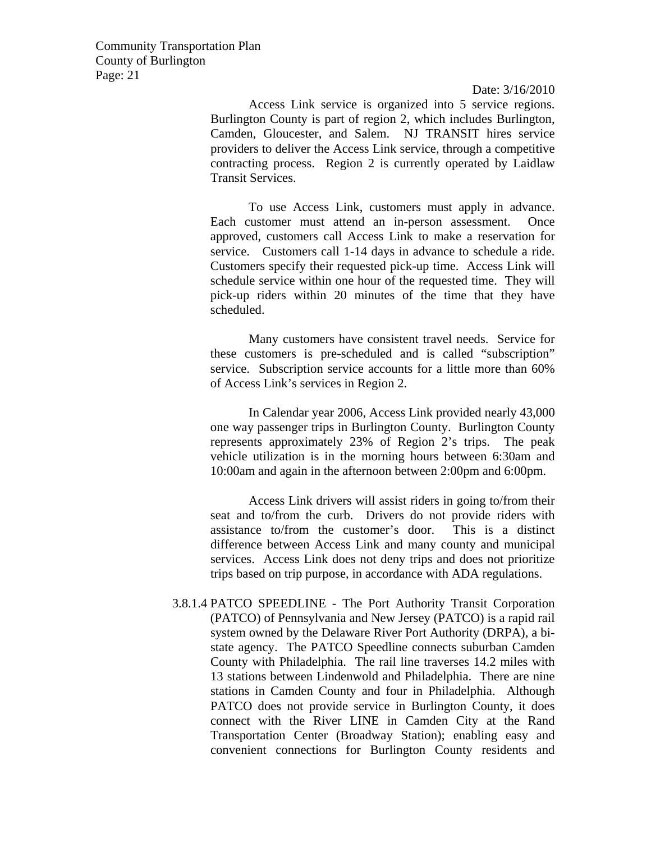Date: 3/16/2010

Access Link service is organized into 5 service regions. Burlington County is part of region 2, which includes Burlington, Camden, Gloucester, and Salem. NJ TRANSIT hires service providers to deliver the Access Link service, through a competitive contracting process. Region 2 is currently operated by Laidlaw Transit Services.

To use Access Link, customers must apply in advance. Each customer must attend an in-person assessment. Once approved, customers call Access Link to make a reservation for service. Customers call 1-14 days in advance to schedule a ride. Customers specify their requested pick-up time. Access Link will schedule service within one hour of the requested time. They will pick-up riders within 20 minutes of the time that they have scheduled.

Many customers have consistent travel needs. Service for these customers is pre-scheduled and is called "subscription" service. Subscription service accounts for a little more than 60% of Access Link's services in Region 2.

In Calendar year 2006, Access Link provided nearly 43,000 one way passenger trips in Burlington County. Burlington County represents approximately 23% of Region 2's trips. The peak vehicle utilization is in the morning hours between 6:30am and 10:00am and again in the afternoon between 2:00pm and 6:00pm.

Access Link drivers will assist riders in going to/from their seat and to/from the curb. Drivers do not provide riders with assistance to/from the customer's door. This is a distinct difference between Access Link and many county and municipal services. Access Link does not deny trips and does not prioritize trips based on trip purpose, in accordance with ADA regulations.

3.8.1.4 PATCO SPEEDLINE - The Port Authority Transit Corporation (PATCO) of Pennsylvania and New Jersey (PATCO) is a rapid rail system owned by the Delaware River Port Authority (DRPA), a bistate agency. The PATCO Speedline connects suburban Camden County with Philadelphia. The rail line traverses 14.2 miles with 13 stations between Lindenwold and Philadelphia. There are nine stations in Camden County and four in Philadelphia. Although PATCO does not provide service in Burlington County, it does connect with the River LINE in Camden City at the Rand Transportation Center (Broadway Station); enabling easy and convenient connections for Burlington County residents and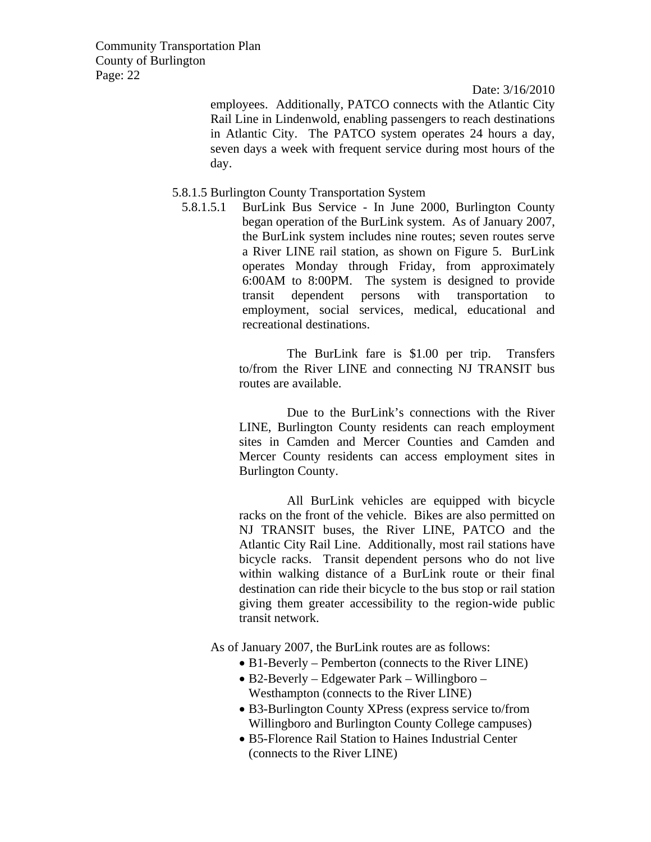Date: 3/16/2010

employees. Additionally, PATCO connects with the Atlantic City Rail Line in Lindenwold, enabling passengers to reach destinations in Atlantic City. The PATCO system operates 24 hours a day, seven days a week with frequent service during most hours of the day.

#### 5.8.1.5 Burlington County Transportation System

5.8.1.5.1 BurLink Bus Service - In June 2000, Burlington County began operation of the BurLink system. As of January 2007, the BurLink system includes nine routes; seven routes serve a River LINE rail station, as shown on Figure 5. BurLink operates Monday through Friday, from approximately 6:00AM to 8:00PM. The system is designed to provide transit dependent persons with transportation to employment, social services, medical, educational and recreational destinations.

> The BurLink fare is \$1.00 per trip. Transfers to/from the River LINE and connecting NJ TRANSIT bus routes are available.

> Due to the BurLink's connections with the River LINE, Burlington County residents can reach employment sites in Camden and Mercer Counties and Camden and Mercer County residents can access employment sites in Burlington County.

> All BurLink vehicles are equipped with bicycle racks on the front of the vehicle. Bikes are also permitted on NJ TRANSIT buses, the River LINE, PATCO and the Atlantic City Rail Line. Additionally, most rail stations have bicycle racks. Transit dependent persons who do not live within walking distance of a BurLink route or their final destination can ride their bicycle to the bus stop or rail station giving them greater accessibility to the region-wide public transit network.

As of January 2007, the BurLink routes are as follows:

- B1-Beverly Pemberton (connects to the River LINE)
- B2-Beverly Edgewater Park Willingboro Westhampton (connects to the River LINE)
- B3-Burlington County XPress (express service to/from Willingboro and Burlington County College campuses)
- B5-Florence Rail Station to Haines Industrial Center (connects to the River LINE)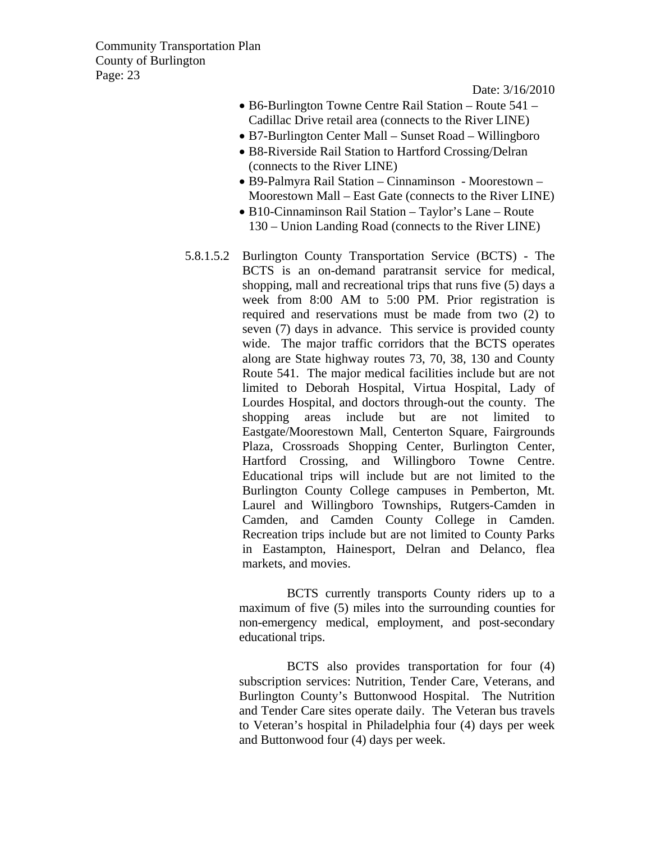Date: 3/16/2010

- B6-Burlington Towne Centre Rail Station Route 541 Cadillac Drive retail area (connects to the River LINE)
- B7-Burlington Center Mall Sunset Road Willingboro
- B8-Riverside Rail Station to Hartford Crossing/Delran (connects to the River LINE)
- B9-Palmyra Rail Station Cinnaminson Moorestown Moorestown Mall – East Gate (connects to the River LINE)
- B10-Cinnaminson Rail Station Taylor's Lane Route 130 – Union Landing Road (connects to the River LINE)
- 5.8.1.5.2 Burlington County Transportation Service (BCTS) The BCTS is an on-demand paratransit service for medical, shopping, mall and recreational trips that runs five (5) days a week from 8:00 AM to 5:00 PM. Prior registration is required and reservations must be made from two (2) to seven (7) days in advance. This service is provided county wide. The major traffic corridors that the BCTS operates along are State highway routes 73, 70, 38, 130 and County Route 541. The major medical facilities include but are not limited to Deborah Hospital, Virtua Hospital, Lady of Lourdes Hospital, and doctors through-out the county. The shopping areas include but are not limited to Eastgate/Moorestown Mall, Centerton Square, Fairgrounds Plaza, Crossroads Shopping Center, Burlington Center, Hartford Crossing, and Willingboro Towne Centre. Educational trips will include but are not limited to the Burlington County College campuses in Pemberton, Mt. Laurel and Willingboro Townships, Rutgers-Camden in Camden, and Camden County College in Camden. Recreation trips include but are not limited to County Parks in Eastampton, Hainesport, Delran and Delanco, flea markets, and movies.

BCTS currently transports County riders up to a maximum of five (5) miles into the surrounding counties for non-emergency medical, employment, and post-secondary educational trips.

BCTS also provides transportation for four (4) subscription services: Nutrition, Tender Care, Veterans, and Burlington County's Buttonwood Hospital. The Nutrition and Tender Care sites operate daily. The Veteran bus travels to Veteran's hospital in Philadelphia four (4) days per week and Buttonwood four (4) days per week.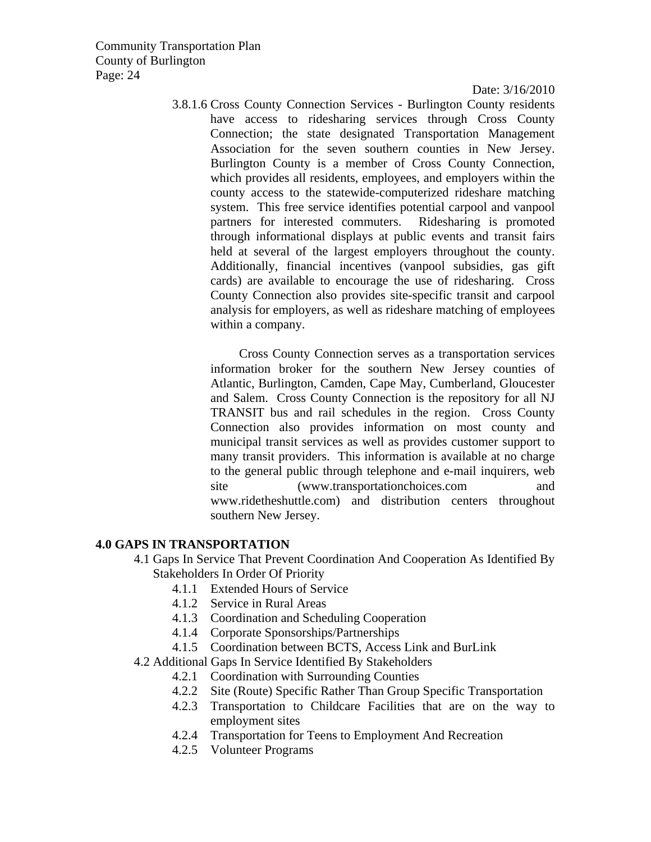Date: 3/16/2010

3.8.1.6 Cross County Connection Services - Burlington County residents have access to ridesharing services through Cross County Connection; the state designated Transportation Management Association for the seven southern counties in New Jersey. Burlington County is a member of Cross County Connection, which provides all residents, employees, and employers within the county access to the statewide-computerized rideshare matching system. This free service identifies potential carpool and vanpool partners for interested commuters. Ridesharing is promoted through informational displays at public events and transit fairs held at several of the largest employers throughout the county. Additionally, financial incentives (vanpool subsidies, gas gift cards) are available to encourage the use of ridesharing. Cross County Connection also provides site-specific transit and carpool analysis for employers, as well as rideshare matching of employees within a company.

Cross County Connection serves as a transportation services information broker for the southern New Jersey counties of Atlantic, Burlington, Camden, Cape May, Cumberland, Gloucester and Salem. Cross County Connection is the repository for all NJ TRANSIT bus and rail schedules in the region. Cross County Connection also provides information on most county and municipal transit services as well as provides customer support to many transit providers. This information is available at no charge to the general public through telephone and e-mail inquirers, web site (www.transportationchoices.com and www.ridetheshuttle.com) and distribution centers throughout southern New Jersey.

#### **4.0 GAPS IN TRANSPORTATION**

- 4.1 Gaps In Service That Prevent Coordination And Cooperation As Identified By Stakeholders In Order Of Priority
	- 4.1.1 Extended Hours of Service
	- 4.1.2 Service in Rural Areas
	- 4.1.3 Coordination and Scheduling Cooperation
	- 4.1.4 Corporate Sponsorships/Partnerships
	- 4.1.5 Coordination between BCTS, Access Link and BurLink
- 4.2 Additional Gaps In Service Identified By Stakeholders
	- 4.2.1 Coordination with Surrounding Counties
	- 4.2.2 Site (Route) Specific Rather Than Group Specific Transportation
	- 4.2.3 Transportation to Childcare Facilities that are on the way to employment sites
	- 4.2.4 Transportation for Teens to Employment And Recreation
	- 4.2.5 Volunteer Programs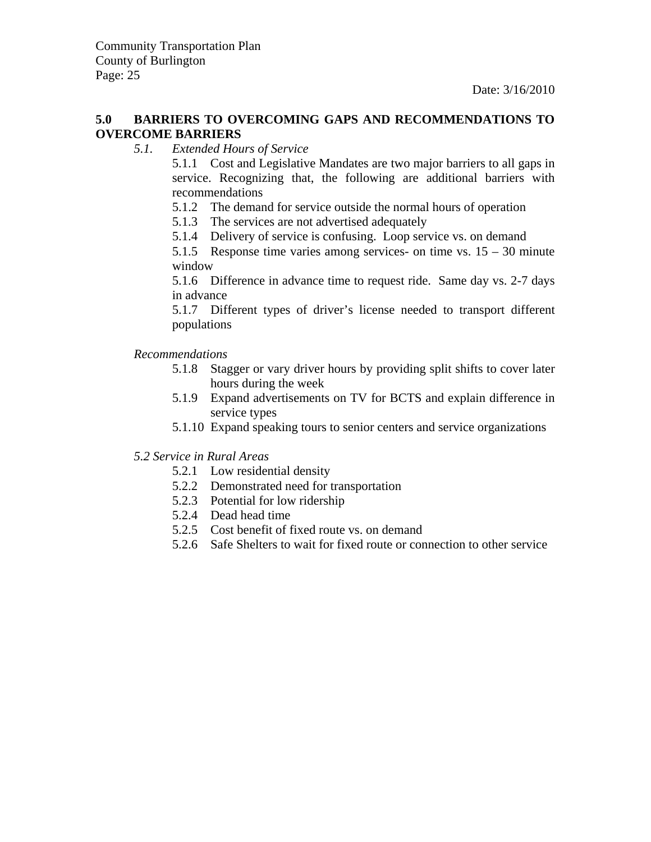#### **5.0 BARRIERS TO OVERCOMING GAPS AND RECOMMENDATIONS TO OVERCOME BARRIERS**

*5.1. Extended Hours of Service*

 5.1.1 Cost and Legislative Mandates are two major barriers to all gaps in service. Recognizing that, the following are additional barriers with recommendations

- 5.1.2 The demand for service outside the normal hours of operation
- 5.1.3 The services are not advertised adequately
- 5.1.4 Delivery of service is confusing. Loop service vs. on demand

 5.1.5 Response time varies among services- on time vs. 15 – 30 minute window

 5.1.6 Difference in advance time to request ride. Same day vs. 2-7 days in advance

 5.1.7 Different types of driver's license needed to transport different populations

#### *Recommendations*

- 5.1.8 Stagger or vary driver hours by providing split shifts to cover later hours during the week
- 5.1.9 Expand advertisements on TV for BCTS and explain difference in service types
- 5.1.10 Expand speaking tours to senior centers and service organizations

#### *5.2 Service in Rural Areas*

- 5.2.1 Low residential density
- 5.2.2 Demonstrated need for transportation
- 5.2.3 Potential for low ridership
- 5.2.4 Dead head time
- 5.2.5 Cost benefit of fixed route vs. on demand
- 5.2.6 Safe Shelters to wait for fixed route or connection to other service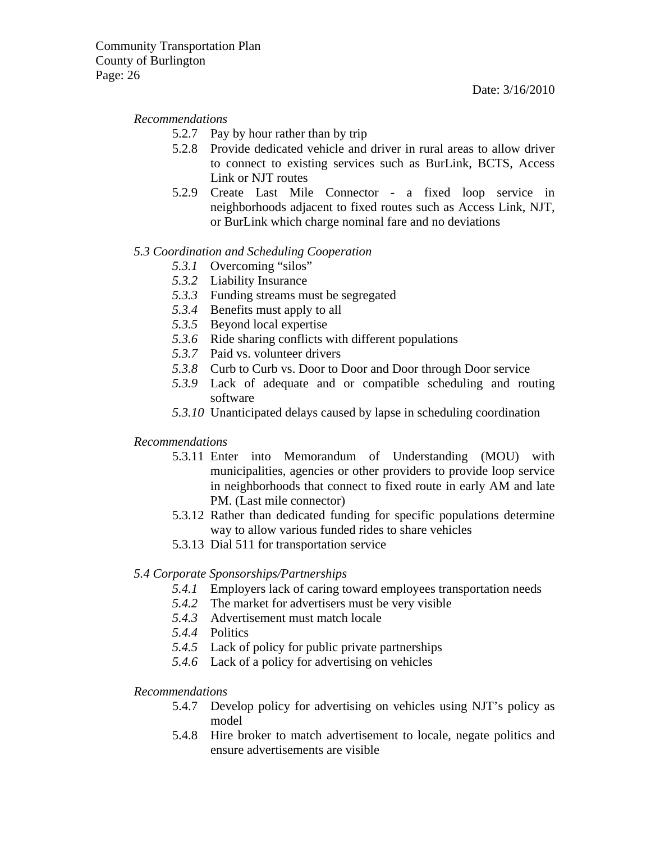#### *Recommendations*

- 5.2.7 Pay by hour rather than by trip
- 5.2.8 Provide dedicated vehicle and driver in rural areas to allow driver to connect to existing services such as BurLink, BCTS, Access Link or NJT routes
- 5.2.9 Create Last Mile Connector a fixed loop service in neighborhoods adjacent to fixed routes such as Access Link, NJT, or BurLink which charge nominal fare and no deviations

#### *5.3 Coordination and Scheduling Cooperation*

- *5.3.1* Overcoming "silos"
- *5.3.2* Liability Insurance
- *5.3.3* Funding streams must be segregated
- *5.3.4* Benefits must apply to all
- *5.3.5* Beyond local expertise
- *5.3.6* Ride sharing conflicts with different populations
- *5.3.7* Paid vs. volunteer drivers
- *5.3.8* Curb to Curb vs. Door to Door and Door through Door service
- *5.3.9* Lack of adequate and or compatible scheduling and routing software
- *5.3.10* Unanticipated delays caused by lapse in scheduling coordination

#### *Recommendations*

- 5.3.11 Enter into Memorandum of Understanding (MOU) with municipalities, agencies or other providers to provide loop service in neighborhoods that connect to fixed route in early AM and late PM. (Last mile connector)
- 5.3.12 Rather than dedicated funding for specific populations determine way to allow various funded rides to share vehicles
- 5.3.13 Dial 511 for transportation service

#### *5.4 Corporate Sponsorships/Partnerships*

- *5.4.1* Employers lack of caring toward employees transportation needs
- *5.4.2* The market for advertisers must be very visible
- *5.4.3* Advertisement must match locale
- *5.4.4* Politics
- *5.4.5* Lack of policy for public private partnerships
- *5.4.6* Lack of a policy for advertising on vehicles

#### *Recommendations*

- 5.4.7 Develop policy for advertising on vehicles using NJT's policy as model
- 5.4.8 Hire broker to match advertisement to locale, negate politics and ensure advertisements are visible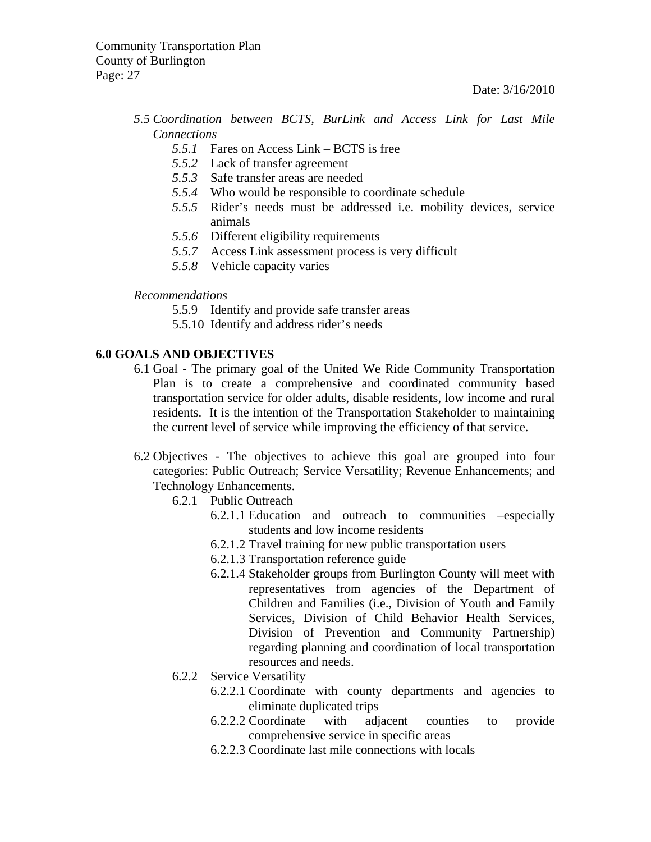#### *5.5 Coordination between BCTS, BurLink and Access Link for Last Mile Connections*

- *5.5.1* Fares on Access Link BCTS is free
- *5.5.2* Lack of transfer agreement
- *5.5.3* Safe transfer areas are needed
- *5.5.4* Who would be responsible to coordinate schedule
- *5.5.5* Rider's needs must be addressed i.e. mobility devices, service animals
- *5.5.6* Different eligibility requirements
- *5.5.7* Access Link assessment process is very difficult
- *5.5.8* Vehicle capacity varies

#### *Recommendations*

- 5.5.9 Identify and provide safe transfer areas
- 5.5.10 Identify and address rider's needs

#### **6.0 GOALS AND OBJECTIVES**

- 6.1 GoalThe primary goal of the United We Ride Community Transportation Plan is to create a comprehensive and coordinated community based transportation service for older adults, disable residents, low income and rural residents. It is the intention of the Transportation Stakeholder to maintaining the current level of service while improving the efficiency of that service.
- 6.2 Objectives The objectives to achieve this goal are grouped into four categories: Public Outreach; Service Versatility; Revenue Enhancements; and Technology Enhancements.
	- 6.2.1 Public Outreach
		- 6.2.1.1 Education and outreach to communities –especially students and low income residents
		- 6.2.1.2 Travel training for new public transportation users
		- 6.2.1.3 Transportation reference guide
		- 6.2.1.4 Stakeholder groups from Burlington County will meet with representatives from agencies of the Department of Children and Families (i.e., Division of Youth and Family Services, Division of Child Behavior Health Services, Division of Prevention and Community Partnership) regarding planning and coordination of local transportation resources and needs.
	- 6.2.2 Service Versatility
		- 6.2.2.1 Coordinate with county departments and agencies to eliminate duplicated trips
		- 6.2.2.2 Coordinate with adjacent counties to provide comprehensive service in specific areas
		- 6.2.2.3 Coordinate last mile connections with locals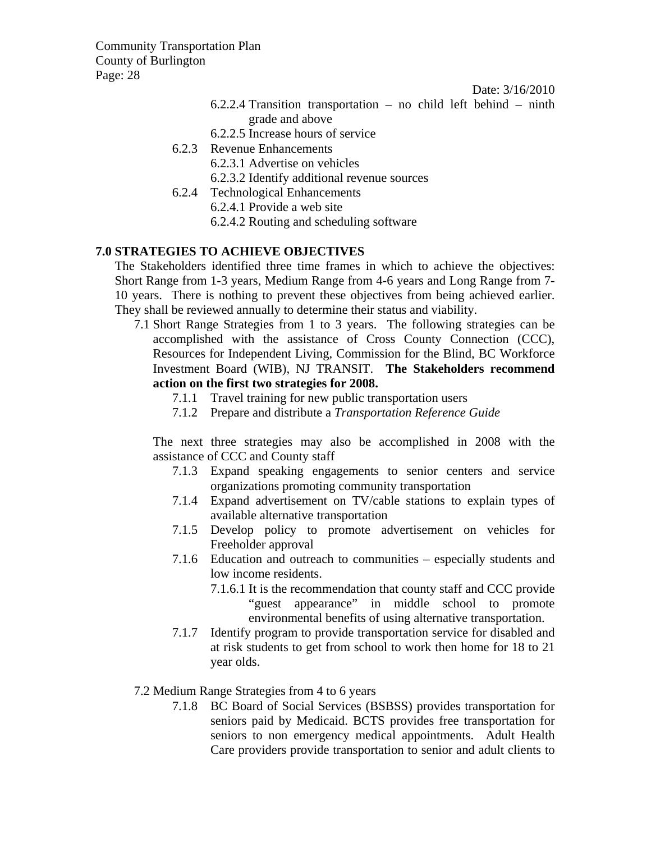Date: 3/16/2010

- 6.2.2.4 Transition transportation no child left behind ninth grade and above
- 6.2.2.5 Increase hours of service
- 6.2.3 Revenue Enhancements
	- 6.2.3.1 Advertise on vehicles
	- 6.2.3.2 Identify additional revenue sources
- 6.2.4 Technological Enhancements
	- 6.2.4.1 Provide a web site
	- 6.2.4.2 Routing and scheduling software

#### **7.0 STRATEGIES TO ACHIEVE OBJECTIVES**

The Stakeholders identified three time frames in which to achieve the objectives: Short Range from 1-3 years, Medium Range from 4-6 years and Long Range from 7- 10 years. There is nothing to prevent these objectives from being achieved earlier. They shall be reviewed annually to determine their status and viability.

7.1 Short Range Strategies from 1 to 3 years. The following strategies can be accomplished with the assistance of Cross County Connection (CCC), Resources for Independent Living, Commission for the Blind, BC Workforce Investment Board (WIB), NJ TRANSIT. **The Stakeholders recommend action on the first two strategies for 2008.**

- 7.1.1 Travel training for new public transportation users
- 7.1.2 Prepare and distribute a *Transportation Reference Guide*

The next three strategies may also be accomplished in 2008 with the assistance of CCC and County staff

- 7.1.3 Expand speaking engagements to senior centers and service organizations promoting community transportation
- 7.1.4 Expand advertisement on TV/cable stations to explain types of available alternative transportation
- 7.1.5 Develop policy to promote advertisement on vehicles for Freeholder approval
- 7.1.6 Education and outreach to communities especially students and low income residents.
	- 7.1.6.1 It is the recommendation that county staff and CCC provide "guest appearance" in middle school to promote environmental benefits of using alternative transportation.
- 7.1.7 Identify program to provide transportation service for disabled and at risk students to get from school to work then home for 18 to 21 year olds.

#### 7.2 Medium Range Strategies from 4 to 6 years

7.1.8 BC Board of Social Services (BSBSS) provides transportation for seniors paid by Medicaid. BCTS provides free transportation for seniors to non emergency medical appointments. Adult Health Care providers provide transportation to senior and adult clients to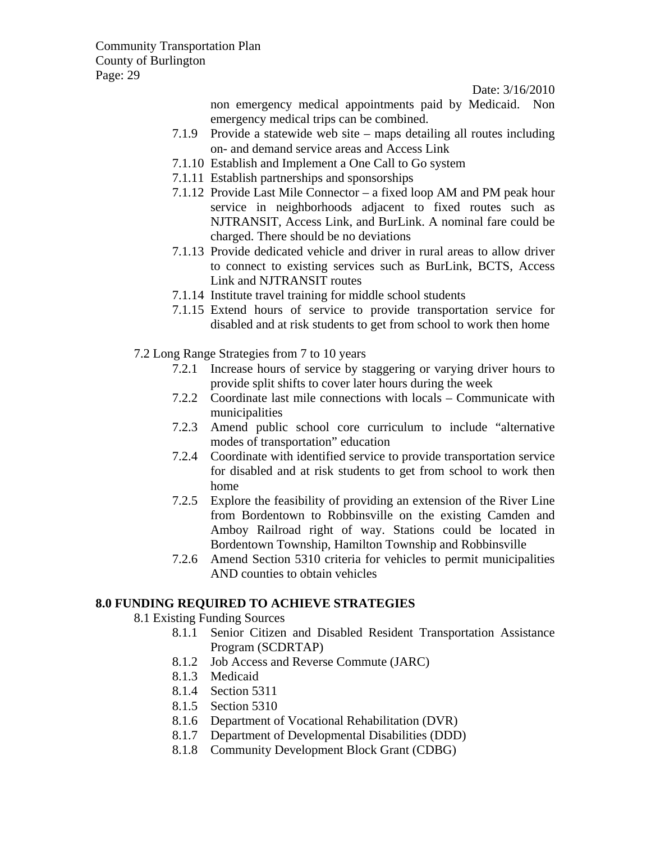Date: 3/16/2010

non emergency medical appointments paid by Medicaid. Non emergency medical trips can be combined.

- 7.1.9 Provide a statewide web site maps detailing all routes including on- and demand service areas and Access Link
- 7.1.10 Establish and Implement a One Call to Go system
- 7.1.11 Establish partnerships and sponsorships
- 7.1.12 Provide Last Mile Connector a fixed loop AM and PM peak hour service in neighborhoods adjacent to fixed routes such as NJTRANSIT, Access Link, and BurLink. A nominal fare could be charged. There should be no deviations
- 7.1.13 Provide dedicated vehicle and driver in rural areas to allow driver to connect to existing services such as BurLink, BCTS, Access Link and NJTRANSIT routes
- 7.1.14 Institute travel training for middle school students
- 7.1.15 Extend hours of service to provide transportation service for disabled and at risk students to get from school to work then home
- 7.2 Long Range Strategies from 7 to 10 years
	- 7.2.1 Increase hours of service by staggering or varying driver hours to provide split shifts to cover later hours during the week
	- 7.2.2 Coordinate last mile connections with locals Communicate with municipalities
	- 7.2.3 Amend public school core curriculum to include "alternative modes of transportation" education
	- 7.2.4 Coordinate with identified service to provide transportation service for disabled and at risk students to get from school to work then home
	- 7.2.5 Explore the feasibility of providing an extension of the River Line from Bordentown to Robbinsville on the existing Camden and Amboy Railroad right of way. Stations could be located in Bordentown Township, Hamilton Township and Robbinsville
	- 7.2.6 Amend Section 5310 criteria for vehicles to permit municipalities AND counties to obtain vehicles

### **8.0 FUNDING REQUIRED TO ACHIEVE STRATEGIES**

8.1 Existing Funding Sources

- 8.1.1 Senior Citizen and Disabled Resident Transportation Assistance Program (SCDRTAP)
- 8.1.2 Job Access and Reverse Commute (JARC)
- 8.1.3 Medicaid
- 8.1.4 Section 5311
- 8.1.5 Section 5310
- 8.1.6 Department of Vocational Rehabilitation (DVR)
- 8.1.7 Department of Developmental Disabilities (DDD)
- 8.1.8 Community Development Block Grant (CDBG)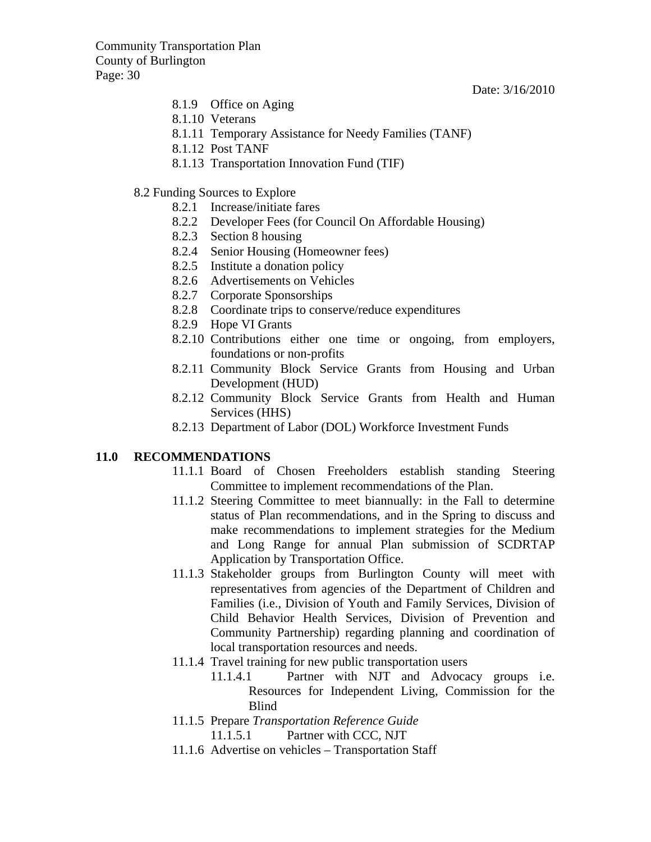Date: 3/16/2010

- 8.1.9 Office on Aging
- 8.1.10 Veterans
- 8.1.11 Temporary Assistance for Needy Families (TANF)
- 8.1.12 Post TANF
- 8.1.13 Transportation Innovation Fund (TIF)
- 8.2 Funding Sources to Explore
	- 8.2.1 Increase/initiate fares
	- 8.2.2 Developer Fees (for Council On Affordable Housing)
	- 8.2.3 Section 8 housing
	- 8.2.4 Senior Housing (Homeowner fees)
	- 8.2.5 Institute a donation policy
	- 8.2.6 Advertisements on Vehicles
	- 8.2.7 Corporate Sponsorships
	- 8.2.8 Coordinate trips to conserve/reduce expenditures
	- 8.2.9 Hope VI Grants
	- 8.2.10 Contributions either one time or ongoing, from employers, foundations or non-profits
	- 8.2.11 Community Block Service Grants from Housing and Urban Development (HUD)
	- 8.2.12 Community Block Service Grants from Health and Human Services (HHS)
	- 8.2.13 Department of Labor (DOL) Workforce Investment Funds

#### **11.0 RECOMMENDATIONS**

- 11.1.1 Board of Chosen Freeholders establish standing Steering Committee to implement recommendations of the Plan.
- 11.1.2 Steering Committee to meet biannually: in the Fall to determine status of Plan recommendations, and in the Spring to discuss and make recommendations to implement strategies for the Medium and Long Range for annual Plan submission of SCDRTAP Application by Transportation Office.
- 11.1.3 Stakeholder groups from Burlington County will meet with representatives from agencies of the Department of Children and Families (i.e., Division of Youth and Family Services, Division of Child Behavior Health Services, Division of Prevention and Community Partnership) regarding planning and coordination of local transportation resources and needs.
- 11.1.4 Travel training for new public transportation users
	- 11.1.4.1 Partner with NJT and Advocacy groups i.e. Resources for Independent Living, Commission for the Blind
- 11.1.5 Prepare *Transportation Reference Guide* 11.1.5.1 Partner with CCC, NJT
- 11.1.6 Advertise on vehicles Transportation Staff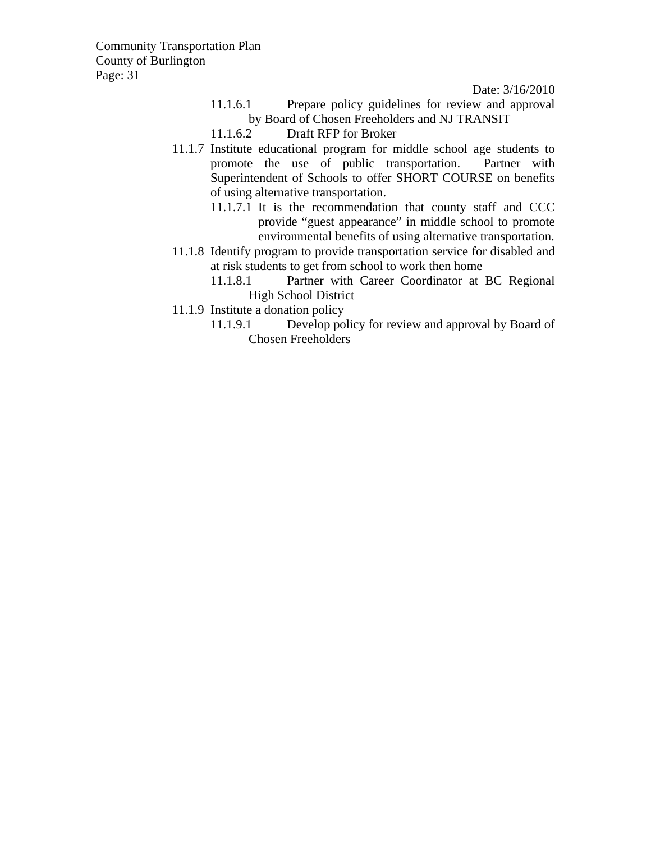- 11.1.6.1 Prepare policy guidelines for review and approval by Board of Chosen Freeholders and NJ TRANSIT
- 11.1.6.2 Draft RFP for Broker
- 11.1.7 Institute educational program for middle school age students to promote the use of public transportation. Partner with Superintendent of Schools to offer SHORT COURSE on benefits of using alternative transportation.
	- 11.1.7.1 It is the recommendation that county staff and CCC provide "guest appearance" in middle school to promote environmental benefits of using alternative transportation.
- 11.1.8 Identify program to provide transportation service for disabled and at risk students to get from school to work then home
	- 11.1.8.1 Partner with Career Coordinator at BC Regional High School District
- 11.1.9 Institute a donation policy
	- 11.1.9.1 Develop policy for review and approval by Board of Chosen Freeholders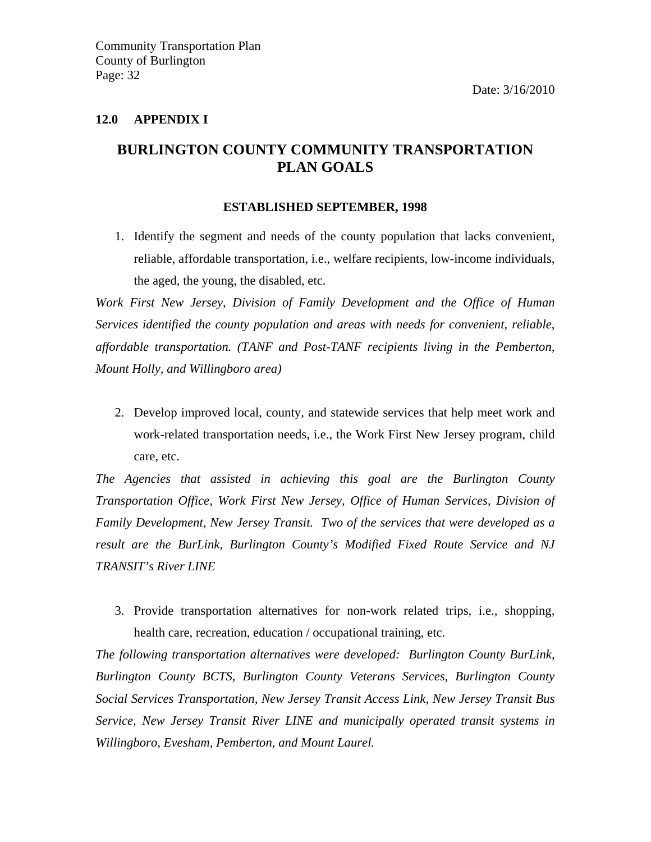#### **12.0 APPENDIX I**

### **BURLINGTON COUNTY COMMUNITY TRANSPORTATION PLAN GOALS**

#### **ESTABLISHED SEPTEMBER, 1998**

1. Identify the segment and needs of the county population that lacks convenient, reliable, affordable transportation, i.e., welfare recipients, low-income individuals, the aged, the young, the disabled, etc.

*Work First New Jersey, Division of Family Development and the Office of Human Services identified the county population and areas with needs for convenient, reliable, affordable transportation. (TANF and Post-TANF recipients living in the Pemberton, Mount Holly, and Willingboro area)* 

2. Develop improved local, county, and statewide services that help meet work and work-related transportation needs, i.e., the Work First New Jersey program, child care, etc.

*The Agencies that assisted in achieving this goal are the Burlington County Transportation Office, Work First New Jersey, Office of Human Services, Division of Family Development, New Jersey Transit. Two of the services that were developed as a result are the BurLink, Burlington County's Modified Fixed Route Service and NJ TRANSIT's River LINE* 

3. Provide transportation alternatives for non-work related trips, i.e., shopping, health care, recreation, education / occupational training, etc.

*The following transportation alternatives were developed: Burlington County BurLink, Burlington County BCTS, Burlington County Veterans Services, Burlington County Social Services Transportation, New Jersey Transit Access Link, New Jersey Transit Bus Service, New Jersey Transit River LINE and municipally operated transit systems in Willingboro, Evesham, Pemberton, and Mount Laurel.*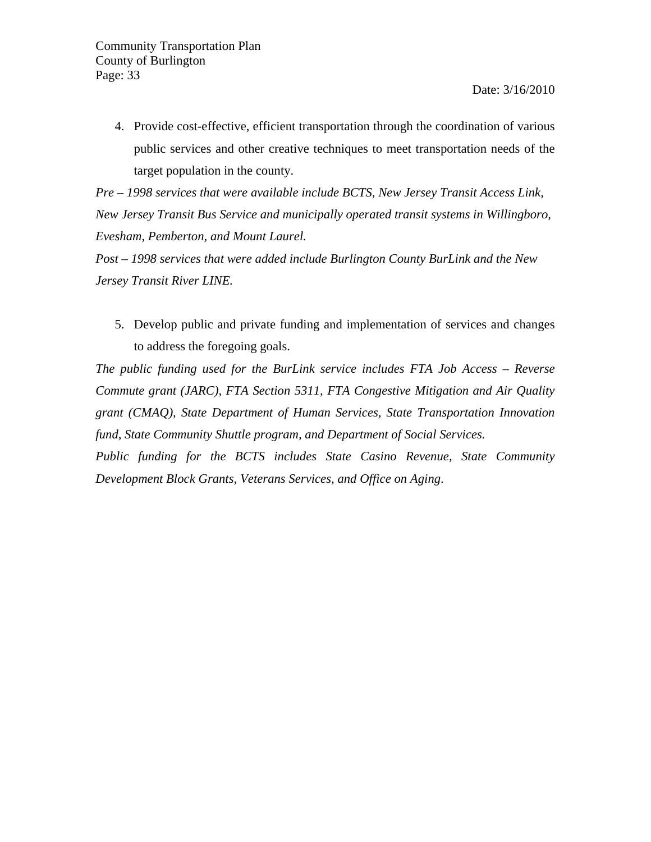4. Provide cost-effective, efficient transportation through the coordination of various public services and other creative techniques to meet transportation needs of the target population in the county.

*Pre – 1998 services that were available include BCTS, New Jersey Transit Access Link, New Jersey Transit Bus Service and municipally operated transit systems in Willingboro, Evesham, Pemberton, and Mount Laurel.* 

*Post – 1998 services that were added include Burlington County BurLink and the New Jersey Transit River LINE.*

5. Develop public and private funding and implementation of services and changes to address the foregoing goals.

*The public funding used for the BurLink service includes FTA Job Access – Reverse Commute grant (JARC), FTA Section 5311, FTA Congestive Mitigation and Air Quality grant (CMAQ), State Department of Human Services, State Transportation Innovation fund, State Community Shuttle program, and Department of Social Services.* 

*Public funding for the BCTS includes State Casino Revenue, State Community Development Block Grants, Veterans Services, and Office on Aging*.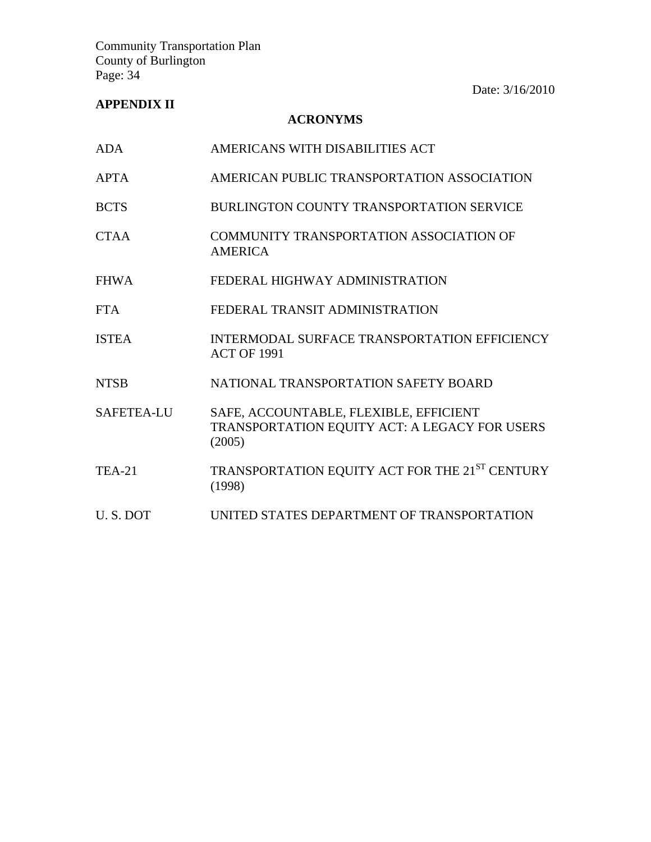### **APPENDIX II**

### **ACRONYMS**

| ADA               | AMERICANS WITH DISABILITIES ACT                                                                   |
|-------------------|---------------------------------------------------------------------------------------------------|
| <b>APTA</b>       | AMERICAN PUBLIC TRANSPORTATION ASSOCIATION                                                        |
| <b>BCTS</b>       | BURLINGTON COUNTY TRANSPORTATION SERVICE                                                          |
| <b>CTAA</b>       | COMMUNITY TRANSPORTATION ASSOCIATION OF<br><b>AMERICA</b>                                         |
| <b>FHWA</b>       | FEDERAL HIGHWAY ADMINISTRATION                                                                    |
| <b>FTA</b>        | FEDERAL TRANSIT ADMINISTRATION                                                                    |
| <b>ISTEA</b>      | INTERMODAL SURFACE TRANSPORTATION EFFICIENCY<br><b>ACT OF 1991</b>                                |
| <b>NTSB</b>       | NATIONAL TRANSPORTATION SAFETY BOARD                                                              |
| <b>SAFETEA-LU</b> | SAFE, ACCOUNTABLE, FLEXIBLE, EFFICIENT<br>TRANSPORTATION EQUITY ACT: A LEGACY FOR USERS<br>(2005) |
| <b>TEA-21</b>     | TRANSPORTATION EQUITY ACT FOR THE 21 <sup>ST</sup> CENTURY<br>(1998)                              |
| U.S.DOT           | UNITED STATES DEPARTMENT OF TRANSPORTATION                                                        |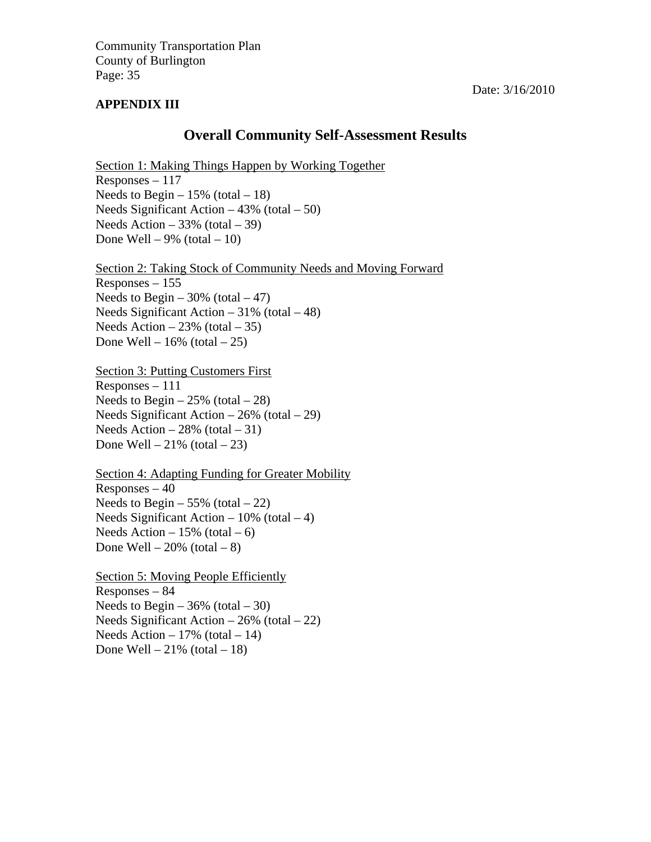#### **APPENDIX III**

#### Date: 3/16/2010

### **Overall Community Self-Assessment Results**

Section 1: Making Things Happen by Working Together Responses – 117 Needs to Begin  $-15\%$  (total  $-18$ ) Needs Significant Action  $-43\%$  (total  $-50$ ) Needs Action  $-33\%$  (total  $-39$ ) Done Well – 9% (total – 10)

Section 2: Taking Stock of Community Needs and Moving Forward Responses – 155 Needs to Begin –  $30\%$  (total – 47) Needs Significant Action  $-31\%$  (total  $-48$ ) Needs Action  $-23\%$  (total  $-35$ ) Done Well –  $16\%$  (total – 25)

Section 3: Putting Customers First Responses – 111 Needs to Begin  $-25\%$  (total  $-28$ ) Needs Significant Action – 26% (total – 29) Needs Action  $-28\%$  (total  $-31$ ) Done Well –  $21\%$  (total – 23)

Section 4: Adapting Funding for Greater Mobility  $Resposes - 40$ Needs to Begin  $-55\%$  (total  $-22$ ) Needs Significant Action –  $10\%$  (total – 4) Needs Action –  $15\%$  (total – 6) Done Well –  $20\%$  (total – 8)

Section 5: Moving People Efficiently Responses – 84 Needs to Begin –  $36\%$  (total – 30) Needs Significant Action  $-26\%$  (total  $-22$ ) Needs Action  $-17\%$  (total  $-14$ ) Done Well –  $21\%$  (total – 18)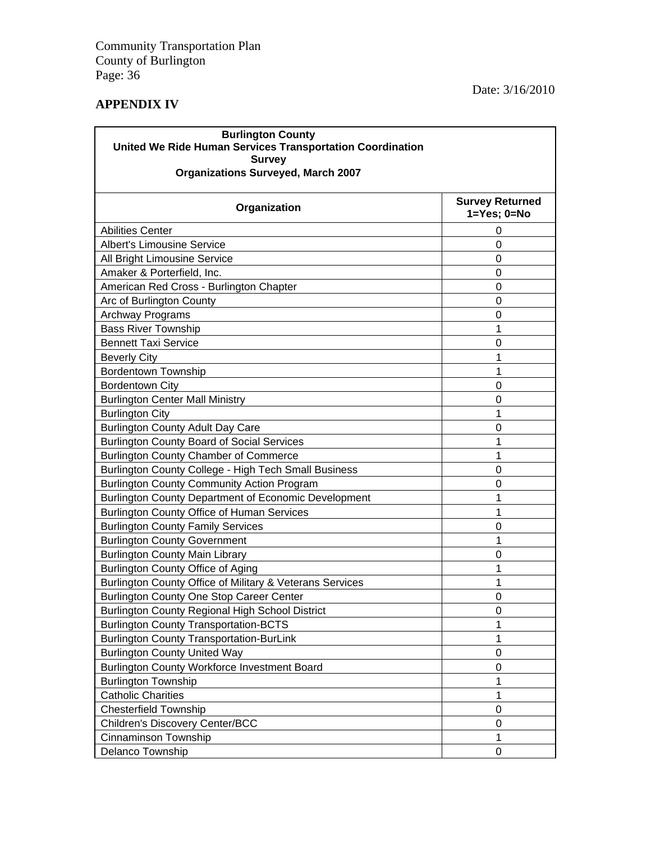### **APPENDIX IV**

| <b>Burlington County</b><br>United We Ride Human Services Transportation Coordination<br><b>Survey</b><br><b>Organizations Surveyed, March 2007</b> |                                                |  |  |  |
|-----------------------------------------------------------------------------------------------------------------------------------------------------|------------------------------------------------|--|--|--|
| Organization                                                                                                                                        | <b>Survey Returned</b><br>$1 = Yes$ ; $0 = No$ |  |  |  |
| <b>Abilities Center</b>                                                                                                                             | 0                                              |  |  |  |
| <b>Albert's Limousine Service</b>                                                                                                                   | 0                                              |  |  |  |
| All Bright Limousine Service                                                                                                                        | $\overline{0}$                                 |  |  |  |
| Amaker & Porterfield, Inc.                                                                                                                          | $\Omega$                                       |  |  |  |
| American Red Cross - Burlington Chapter                                                                                                             | $\Omega$                                       |  |  |  |
| Arc of Burlington County                                                                                                                            | 0                                              |  |  |  |
| Archway Programs                                                                                                                                    | 0                                              |  |  |  |
| <b>Bass River Township</b>                                                                                                                          | 1                                              |  |  |  |
| <b>Bennett Taxi Service</b>                                                                                                                         | 0                                              |  |  |  |
| <b>Beverly City</b>                                                                                                                                 | 1                                              |  |  |  |
| <b>Bordentown Township</b>                                                                                                                          | 1                                              |  |  |  |
| <b>Bordentown City</b>                                                                                                                              | 0                                              |  |  |  |
| <b>Burlington Center Mall Ministry</b>                                                                                                              | 0                                              |  |  |  |
| <b>Burlington City</b>                                                                                                                              | 1                                              |  |  |  |
| <b>Burlington County Adult Day Care</b>                                                                                                             | 0                                              |  |  |  |
| <b>Burlington County Board of Social Services</b>                                                                                                   | 1                                              |  |  |  |
| <b>Burlington County Chamber of Commerce</b>                                                                                                        |                                                |  |  |  |
| Burlington County College - High Tech Small Business                                                                                                | $\Omega$                                       |  |  |  |
| <b>Burlington County Community Action Program</b>                                                                                                   | 0                                              |  |  |  |
| Burlington County Department of Economic Development                                                                                                | 1                                              |  |  |  |
| <b>Burlington County Office of Human Services</b>                                                                                                   | 1                                              |  |  |  |
| <b>Burlington County Family Services</b>                                                                                                            | 0                                              |  |  |  |
| <b>Burlington County Government</b>                                                                                                                 | 1                                              |  |  |  |
| <b>Burlington County Main Library</b>                                                                                                               | 0                                              |  |  |  |
| Burlington County Office of Aging                                                                                                                   | 1                                              |  |  |  |
| Burlington County Office of Military & Veterans Services                                                                                            | 1                                              |  |  |  |
| <b>Burlington County One Stop Career Center</b>                                                                                                     | $\overline{0}$                                 |  |  |  |
| <b>Burlington County Regional High School District</b>                                                                                              | 0                                              |  |  |  |
| <b>Burlington County Transportation-BCTS</b>                                                                                                        | 1                                              |  |  |  |
| <b>Burlington County Transportation-BurLink</b>                                                                                                     | 1                                              |  |  |  |
| <b>Burlington County United Way</b>                                                                                                                 | 0                                              |  |  |  |
| <b>Burlington County Workforce Investment Board</b>                                                                                                 | 0                                              |  |  |  |
| <b>Burlington Township</b>                                                                                                                          | 1                                              |  |  |  |
| <b>Catholic Charities</b>                                                                                                                           | 1                                              |  |  |  |
| <b>Chesterfield Township</b>                                                                                                                        | 0                                              |  |  |  |
| Children's Discovery Center/BCC                                                                                                                     | 0                                              |  |  |  |
| <b>Cinnaminson Township</b>                                                                                                                         | 1                                              |  |  |  |
| Delanco Township                                                                                                                                    | 0                                              |  |  |  |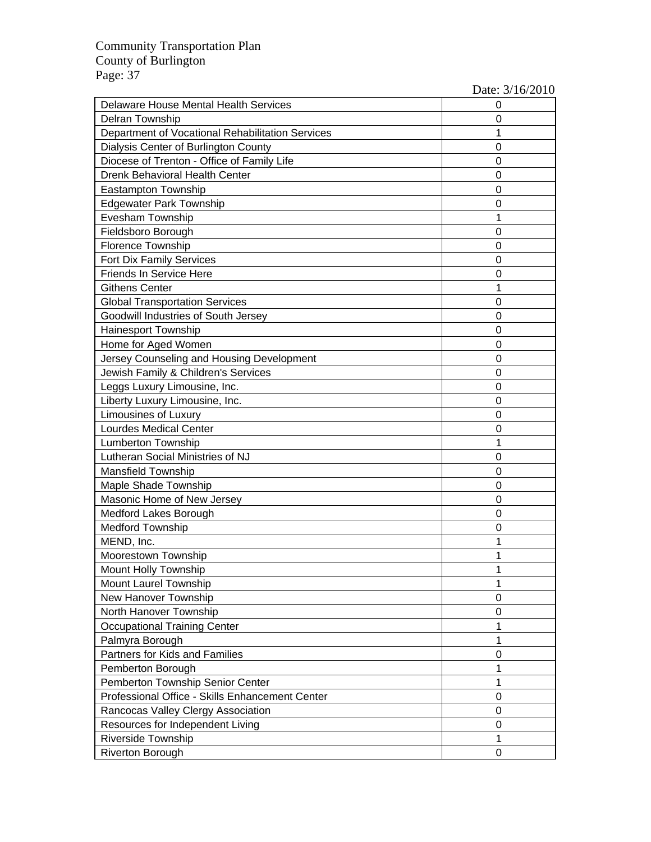| Delaware House Mental Health Services            | 0 |
|--------------------------------------------------|---|
| <b>Delran Township</b>                           | 0 |
| Department of Vocational Rehabilitation Services | 1 |
| Dialysis Center of Burlington County             | 0 |
| Diocese of Trenton - Office of Family Life       | 0 |
| Drenk Behavioral Health Center                   | 0 |
| Eastampton Township                              | 0 |
| <b>Edgewater Park Township</b>                   | 0 |
| Evesham Township                                 | 1 |
| Fieldsboro Borough                               | 0 |
| <b>Florence Township</b>                         | 0 |
| Fort Dix Family Services                         | 0 |
| Friends In Service Here                          | 0 |
| <b>Githens Center</b>                            | 1 |
| <b>Global Transportation Services</b>            | 0 |
| Goodwill Industries of South Jersey              | 0 |
| <b>Hainesport Township</b>                       | 0 |
| Home for Aged Women                              | 0 |
| Jersey Counseling and Housing Development        | 0 |
| Jewish Family & Children's Services              | 0 |
| Leggs Luxury Limousine, Inc.                     | 0 |
| Liberty Luxury Limousine, Inc.                   | 0 |
| <b>Limousines of Luxury</b>                      | 0 |
| <b>Lourdes Medical Center</b>                    | 0 |
| <b>Lumberton Township</b>                        | 1 |
| Lutheran Social Ministries of NJ                 | 0 |
| <b>Mansfield Township</b>                        | 0 |
| Maple Shade Township                             | 0 |
| Masonic Home of New Jersey                       | 0 |
| Medford Lakes Borough                            | 0 |
| <b>Medford Township</b>                          | 0 |
| MEND, Inc.                                       | 1 |
| Moorestown Township                              | 1 |
| <b>Mount Holly Township</b>                      |   |
| <b>Mount Laurel Township</b>                     | 1 |
| New Hanover Township                             | 0 |
| North Hanover Township                           | 0 |
| <b>Occupational Training Center</b>              | 1 |
| Palmyra Borough                                  | 1 |
| Partners for Kids and Families                   | 0 |
| Pemberton Borough                                | 1 |
| Pemberton Township Senior Center                 | 1 |
| Professional Office - Skills Enhancement Center  | 0 |
| Rancocas Valley Clergy Association               | 0 |
| Resources for Independent Living                 | 0 |
| Riverside Township                               | 1 |
| <b>Riverton Borough</b>                          | 0 |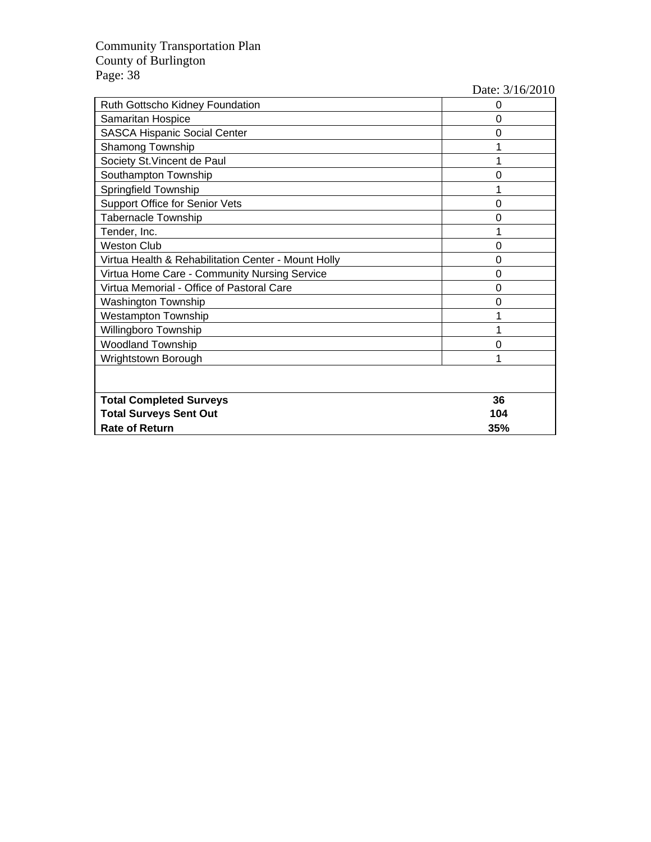| Ruth Gottscho Kidney Foundation                     | 0   |
|-----------------------------------------------------|-----|
| Samaritan Hospice                                   | 0   |
| <b>SASCA Hispanic Social Center</b>                 | 0   |
| <b>Shamong Township</b>                             |     |
| Society St. Vincent de Paul                         |     |
| Southampton Township                                | ი   |
| Springfield Township                                |     |
| Support Office for Senior Vets                      | 0   |
| <b>Tabernacle Township</b>                          | ი   |
| Tender, Inc.                                        |     |
| <b>Weston Club</b>                                  | ი   |
| Virtua Health & Rehabilitation Center - Mount Holly | 0   |
| Virtua Home Care - Community Nursing Service        | 0   |
| Virtua Memorial - Office of Pastoral Care           | 0   |
| <b>Washington Township</b>                          | 0   |
| Westampton Township                                 |     |
| Willingboro Township                                |     |
| <b>Woodland Township</b>                            | 0   |
| Wrightstown Borough                                 |     |
|                                                     |     |
| <b>Total Completed Surveys</b>                      | 36  |
| <b>Total Surveys Sent Out</b>                       | 104 |
| <b>Rate of Return</b>                               | 35% |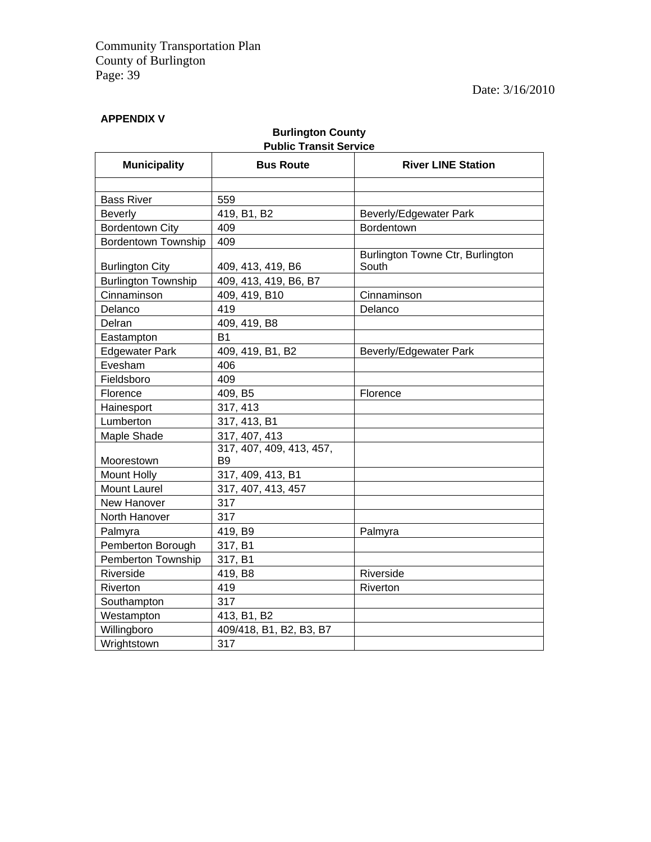### **APPENDIX V**

### **Burlington County Public Transit Service**

| <b>Municipality</b>        | <b>Bus Route</b>                           | <b>River LINE Station</b>                 |
|----------------------------|--------------------------------------------|-------------------------------------------|
|                            |                                            |                                           |
| <b>Bass River</b>          | 559                                        |                                           |
| Beverly                    | 419, B1, B2                                | Beverly/Edgewater Park                    |
| <b>Bordentown City</b>     | 409                                        | Bordentown                                |
| <b>Bordentown Township</b> | 409                                        |                                           |
| <b>Burlington City</b>     | 409, 413, 419, B6                          | Burlington Towne Ctr, Burlington<br>South |
| <b>Burlington Township</b> | 409, 413, 419, B6, B7                      |                                           |
| Cinnaminson                | 409, 419, B10                              | Cinnaminson                               |
| Delanco                    | 419                                        | Delanco                                   |
| Delran                     | 409, 419, B8                               |                                           |
| Eastampton                 | <b>B1</b>                                  |                                           |
| <b>Edgewater Park</b>      | 409, 419, B1, B2                           | Beverly/Edgewater Park                    |
| Evesham                    | 406                                        |                                           |
| Fieldsboro                 | 409                                        |                                           |
| Florence                   | 409, B5                                    | Florence                                  |
| Hainesport                 | 317, 413                                   |                                           |
| Lumberton                  | 317, 413, B1                               |                                           |
| Maple Shade                | 317, 407, 413                              |                                           |
| Moorestown                 | 317, 407, 409, 413, 457,<br>B <sub>9</sub> |                                           |
| Mount Holly                | 317, 409, 413, B1                          |                                           |
| <b>Mount Laurel</b>        | 317, 407, 413, 457                         |                                           |
| New Hanover                | 317                                        |                                           |
| North Hanover              | 317                                        |                                           |
| Palmyra                    | 419, B9                                    | Palmyra                                   |
| Pemberton Borough          | 317, B1                                    |                                           |
| Pemberton Township         | 317, B1                                    |                                           |
| Riverside                  | 419, B8                                    | Riverside                                 |
| Riverton                   | 419                                        | Riverton                                  |
| Southampton                | 317                                        |                                           |
| Westampton                 | 413, B1, B2                                |                                           |
| Willingboro                | 409/418, B1, B2, B3, B7                    |                                           |
| Wrightstown                | 317                                        |                                           |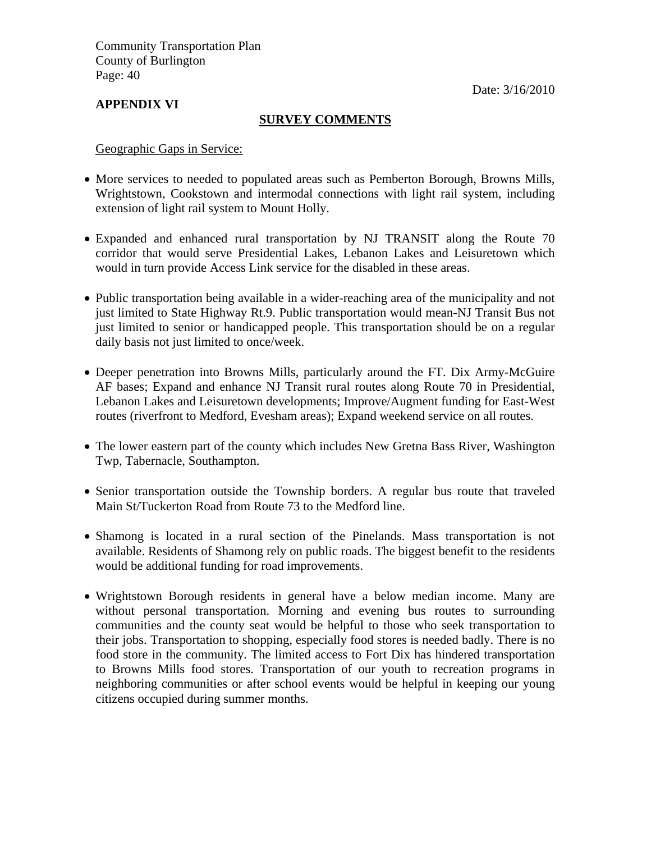Date: 3/16/2010

#### **APPENDIX VI**

#### **SURVEY COMMENTS**

Geographic Gaps in Service:

- More services to needed to populated areas such as Pemberton Borough, Browns Mills, Wrightstown, Cookstown and intermodal connections with light rail system, including extension of light rail system to Mount Holly.
- Expanded and enhanced rural transportation by NJ TRANSIT along the Route 70 corridor that would serve Presidential Lakes, Lebanon Lakes and Leisuretown which would in turn provide Access Link service for the disabled in these areas.
- Public transportation being available in a wider-reaching area of the municipality and not just limited to State Highway Rt.9. Public transportation would mean-NJ Transit Bus not just limited to senior or handicapped people. This transportation should be on a regular daily basis not just limited to once/week.
- Deeper penetration into Browns Mills, particularly around the FT. Dix Army-McGuire AF bases; Expand and enhance NJ Transit rural routes along Route 70 in Presidential, Lebanon Lakes and Leisuretown developments; Improve/Augment funding for East-West routes (riverfront to Medford, Evesham areas); Expand weekend service on all routes.
- The lower eastern part of the county which includes New Gretna Bass River, Washington Twp, Tabernacle, Southampton.
- Senior transportation outside the Township borders. A regular bus route that traveled Main St/Tuckerton Road from Route 73 to the Medford line.
- Shamong is located in a rural section of the Pinelands. Mass transportation is not available. Residents of Shamong rely on public roads. The biggest benefit to the residents would be additional funding for road improvements.
- Wrightstown Borough residents in general have a below median income. Many are without personal transportation. Morning and evening bus routes to surrounding communities and the county seat would be helpful to those who seek transportation to their jobs. Transportation to shopping, especially food stores is needed badly. There is no food store in the community. The limited access to Fort Dix has hindered transportation to Browns Mills food stores. Transportation of our youth to recreation programs in neighboring communities or after school events would be helpful in keeping our young citizens occupied during summer months.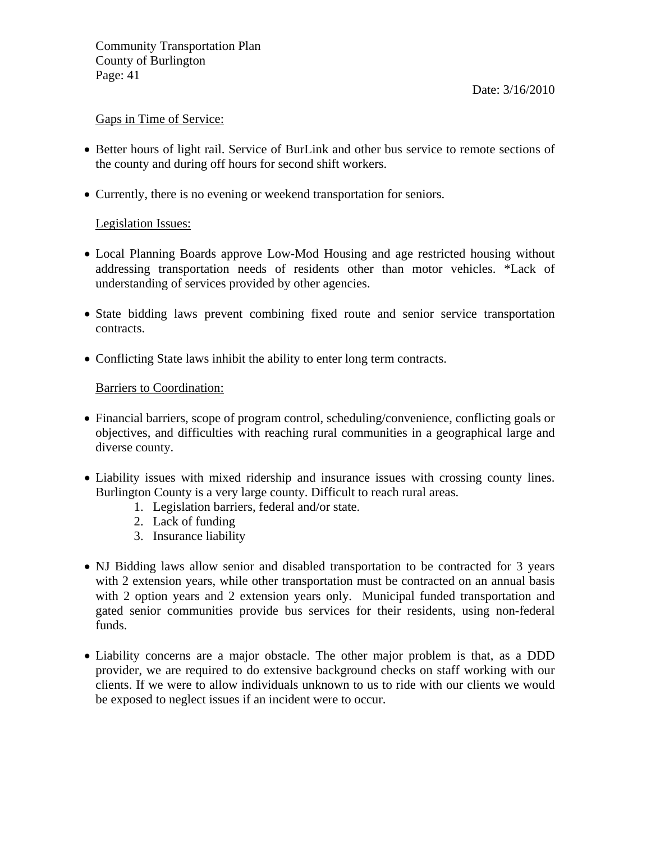#### Gaps in Time of Service:

- Better hours of light rail. Service of BurLink and other bus service to remote sections of the county and during off hours for second shift workers.
- Currently, there is no evening or weekend transportation for seniors.

#### Legislation Issues:

- Local Planning Boards approve Low-Mod Housing and age restricted housing without addressing transportation needs of residents other than motor vehicles. \*Lack of understanding of services provided by other agencies.
- State bidding laws prevent combining fixed route and senior service transportation contracts.
- Conflicting State laws inhibit the ability to enter long term contracts.

#### Barriers to Coordination:

- Financial barriers, scope of program control, scheduling/convenience, conflicting goals or objectives, and difficulties with reaching rural communities in a geographical large and diverse county.
- Liability issues with mixed ridership and insurance issues with crossing county lines. Burlington County is a very large county. Difficult to reach rural areas.
	- 1. Legislation barriers, federal and/or state.
	- 2. Lack of funding
	- 3. Insurance liability
- NJ Bidding laws allow senior and disabled transportation to be contracted for 3 years with 2 extension years, while other transportation must be contracted on an annual basis with 2 option years and 2 extension years only. Municipal funded transportation and gated senior communities provide bus services for their residents, using non-federal funds.
- Liability concerns are a major obstacle. The other major problem is that, as a DDD provider, we are required to do extensive background checks on staff working with our clients. If we were to allow individuals unknown to us to ride with our clients we would be exposed to neglect issues if an incident were to occur.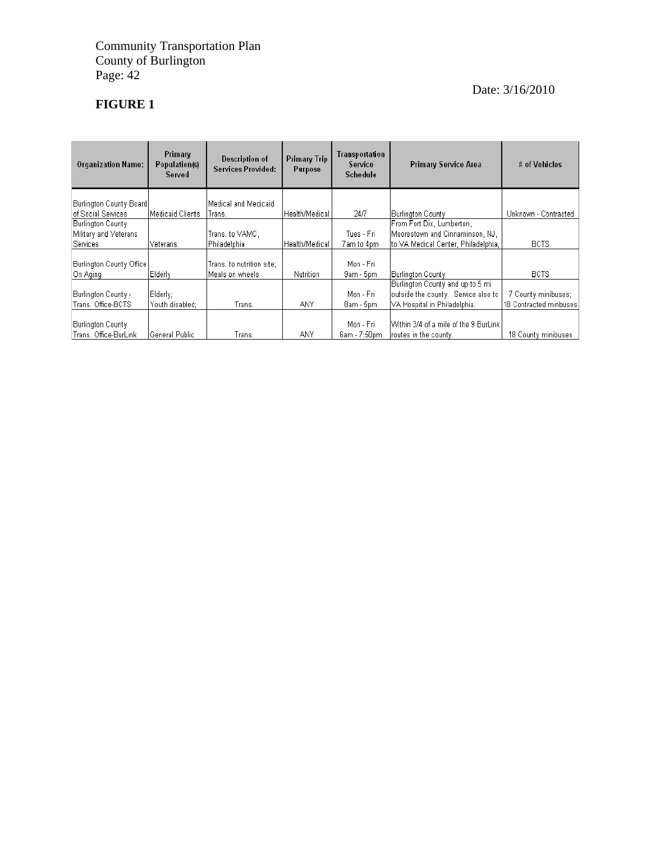## **FIGURE 1**

| <b>Organization Name:</b>                         | Primary<br>Population(s)<br>Served | Description of<br><b>Services Provided:</b>   | <b>Primary Trip</b><br>Purpose | Transportation<br>Service<br>Schedule | <b>Primary Service Area</b>                                     | # of Vehicles          |
|---------------------------------------------------|------------------------------------|-----------------------------------------------|--------------------------------|---------------------------------------|-----------------------------------------------------------------|------------------------|
| Burlington County Board                           |                                    | lMedical and Medicaid                         |                                |                                       |                                                                 |                        |
| of Social Services                                | lMedicaid Clients                  | Trans.                                        | Health/Medical                 | 24/7                                  | Burlington County                                               | Unknown - Contracted   |
| Burlington County                                 |                                    |                                               |                                |                                       | From Fort Dix, Lumberton,                                       |                        |
| Military and Veterans                             |                                    | Trans. to VAMC.                               |                                | Tues - Fri                            | Moorestown and Cinnaminson, NJ.                                 |                        |
| Services                                          | Veterans                           | Philadelphia                                  | Health/Medical                 | 7 am to 4pm                           | Ito VA Medical Center, Philadelphia,                            | <b>BCTS</b>            |
| Burlington County Office<br>On Aging              | Elderlv                            | Trans, to nutrition site;<br>lMeals on wheels | <b>Nutrition</b>               | Mon - Fri<br>9am - 5pm                | Burlington County                                               | <b>BCTS</b>            |
|                                                   |                                    |                                               |                                |                                       | Burlington County and up to 5 mi                                |                        |
| Burlington County -                               | Elderlγ;                           |                                               |                                | Mon - Fri                             | outside the county. Service also to                             | 7 County minibuses;    |
| Trans, Office-BCTS                                | Youth disabled:                    | Trans.                                        | <b>ANY</b>                     | 8am - 5pm                             | VA Hospital in Philadelphia.                                    | 18 Contracted minbuses |
| <b>Burlington County</b><br>Trans, Office-BurLink | <b>General Public</b>              | Trans.                                        | ANY                            | Mon - Fri<br>6am - 7:50pm             | Within 3/4 of a mile of the 9 BurLink<br>froutes in the county. | 18 County minibuses    |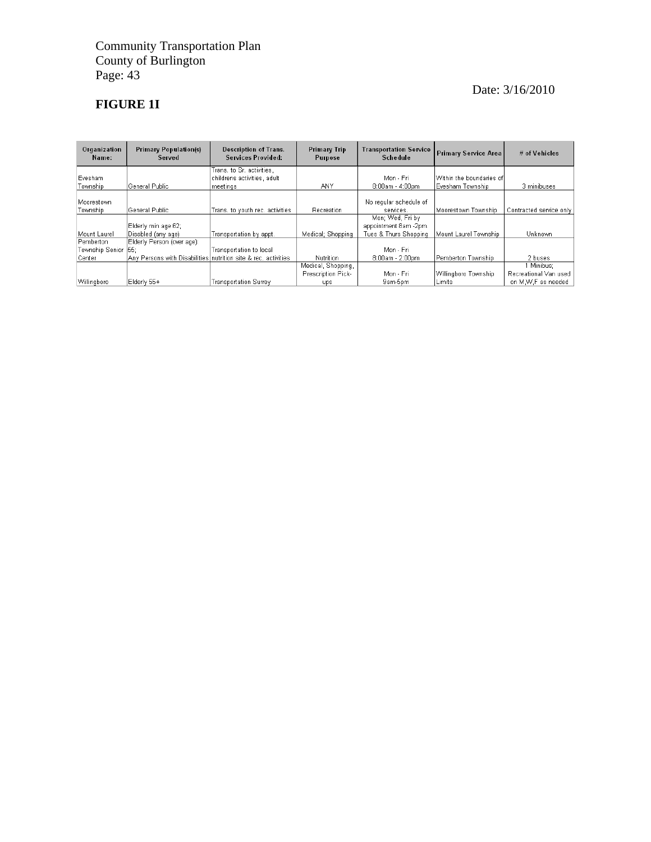### **FIGURE 1I**

| Organization<br>Name: | <b>Primary Population(s)</b><br>Served                         | <b>Description of Trans.</b><br>Services Provided: | <b>Primary Trip</b><br><b>Transportation Service</b><br><b>Schedule</b><br>Purpose |                        | <b>Primary Service Area</b> | # of Vehicles           |
|-----------------------|----------------------------------------------------------------|----------------------------------------------------|------------------------------------------------------------------------------------|------------------------|-----------------------------|-------------------------|
|                       |                                                                | Trans. to Sr. activities,                          |                                                                                    |                        |                             |                         |
| Evesham               |                                                                | childrens activities, adult                        |                                                                                    | Mon - Fri              | lWithin the boundaries of   |                         |
| Township              | General Public                                                 | meetings                                           | <b>ANY</b>                                                                         | 8:00am - 4:00pm        | Evesham Township            | 3 minibuses             |
|                       |                                                                |                                                    |                                                                                    |                        |                             |                         |
| Moorestown            |                                                                |                                                    |                                                                                    | No regular schedule of |                             |                         |
| Township              | General Public                                                 | Trans, to youth rec. activities                    | Recreation                                                                         | services.              | Moorestown Township         | Contracted service only |
|                       |                                                                |                                                    |                                                                                    | Mon; Wed, Fri by       |                             |                         |
|                       | Elderly min age 62;                                            |                                                    |                                                                                    | appointment 8am -2pm.  |                             |                         |
| Mount Laurel          | Disabled (any age)                                             | Transportation by appt.                            | Medical; Shopping                                                                  | Tues & Thurs Shopping  | Mount Laurel Township       | Unknown                 |
| Pemberton             | Elderly Person (over age):                                     |                                                    |                                                                                    |                        |                             |                         |
| Township Senior       | I55:                                                           | Transportation to local                            |                                                                                    | Mon - Fri              |                             |                         |
| Center                | Any Persons with Disabilities nutrition site & rec. activities |                                                    | <b>Nutrition</b>                                                                   | 8:00am - 2:00pm        | Pemberton Township          | 2 buses                 |
|                       |                                                                |                                                    | Medical, Shopping,                                                                 |                        |                             | 1 Minibus:              |
|                       |                                                                |                                                    | Prescription Pick-                                                                 | Mon - Fri              | Willingboro Township        | Recreational Van used   |
| Willingboro           | Elderly 55+                                                    | <b>Transportation Surrey</b>                       | ups                                                                                | 9am-5pm                | lLimits                     | on M.W.F as needed      |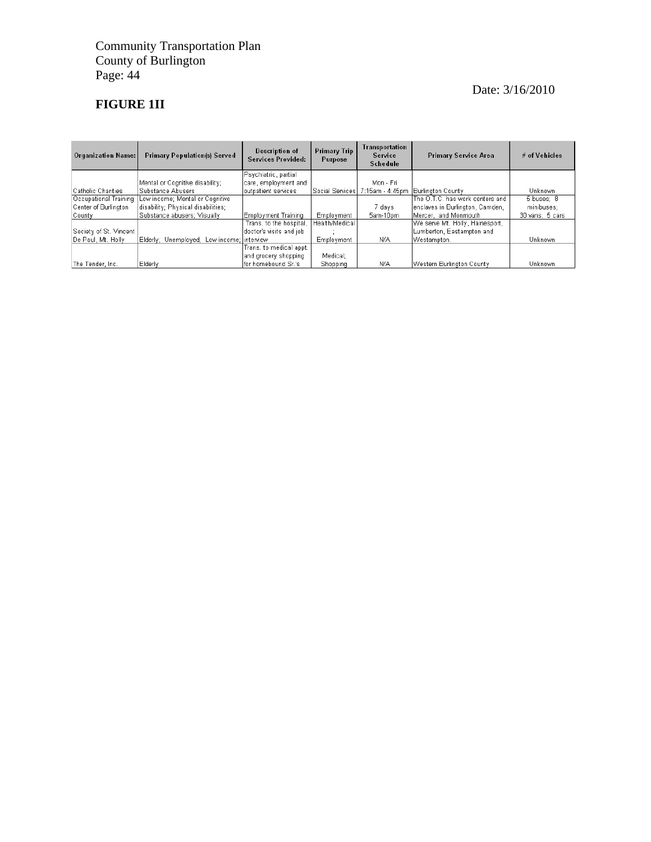### **FIGURE 1II**

| <b>Organization Name:</b> | <b>Primary Population(s) Served</b>          | Description of<br>Services Provided: | Primary Trip<br>Purpose | Transportation<br>Service<br><b>Schedule</b> | <b>Primary Service Area</b>     | # of Vehicles   |
|---------------------------|----------------------------------------------|--------------------------------------|-------------------------|----------------------------------------------|---------------------------------|-----------------|
|                           |                                              | Psychiatric, partial.                |                         |                                              |                                 |                 |
|                           | Mental or Cognitive disability;              | care, employment and                 |                         | Mon - Fri                                    |                                 |                 |
| Catholic Charities        | Substance Abusers                            | outpatient services                  | Social Services         | 7:15am - 4:45pm                              | Burlinaton County               | Unknown         |
| Occupational Training     | Low income; Mental or Cognitive              |                                      |                         |                                              | The O.T.C. has work centers and | 5 buses: 8      |
| Center of Burlington      | disability; Physical disabilities;           |                                      |                         | 7 davs                                       | enclaves in Burlington, Camden, | minibuses:      |
| County                    | Substance abusers: Visually                  | Employment Training                  | Employment              | 5am-10pm                                     | Mercer, and Monmouth            | 30 vans; 5 cars |
|                           |                                              | Trans, to the hospital,              | l Health/Medical        |                                              | We serve Mt. Holly, Hainesport, |                 |
| Society of St. Vincent    |                                              | doctor's visits and job              |                         |                                              | Lumberton, Eastampton and       |                 |
| De Paul, Mt. Holly        | Elderly; Unemployed; Low income; linterview. |                                      | Employment              | N/A                                          | Westampton.                     | Unknown         |
|                           |                                              | Trans, to medical appt,              |                         |                                              |                                 |                 |
|                           |                                              | and grocery shopping                 | Medical;                |                                              |                                 |                 |
| The Tender, Inc.          | Elderly                                      | lfor homebound Sr.'s                 | Shopping                | N/A                                          | Western Burlinaton County       | Unknown         |